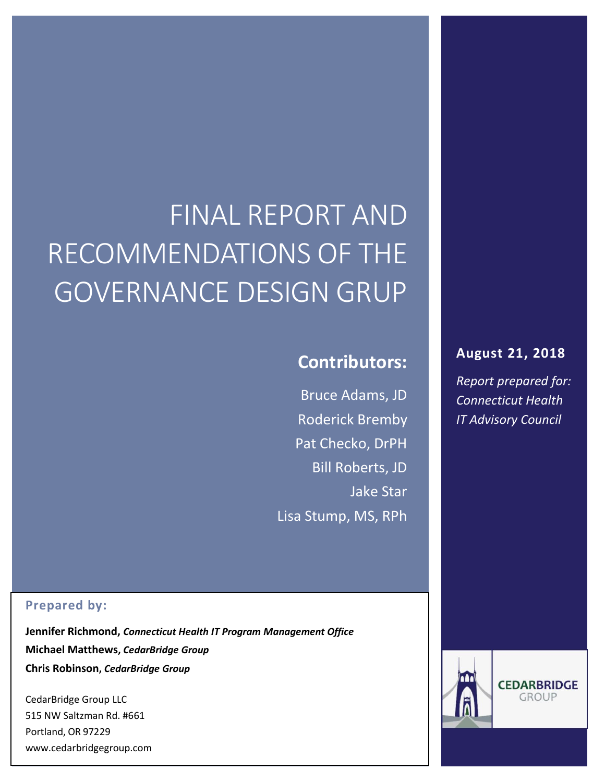# FINAL REPORT AND RECOMMENDATIONS OF THE GOVERNANCE DESIGN GRUP

# **Contributors:**

Bruce Adams, JD Roderick Bremby Pat Checko, DrPH Bill Roberts, JD Jake Star Lisa Stump, MS, RPh

#### **Prepared by:**

**Jennifer Richmond,** *Connecticut Health IT Program Management Office* **Michael Matthews,** *CedarBridge Group* **Chris Robinson,** *CedarBridge Group*

 $\sim$  0R 97229  $\sim$  0R 97229  $\sim$  0.000  $\sim$  0.000  $\sim$  0.000  $\sim$  0.000  $\sim$  0.000  $\sim$  0.000  $\sim$  0.000  $\sim$  0.000  $\sim$  0.000  $\sim$  0.000  $\sim$  0.000  $\sim$  0.000  $\sim$  0.000  $\sim$  0.000  $\sim$  0.000  $\sim$  0.000  $\sim$  0.000  $\sim$  0 CedarBridge Group LLC 515 NW Saltzman Rd. #661 Portland, OR 97229 www.cedarbridgegroup.com

#### **August 21, 2018**

*Report prepared for: Connecticut Health IT Advisory Council*



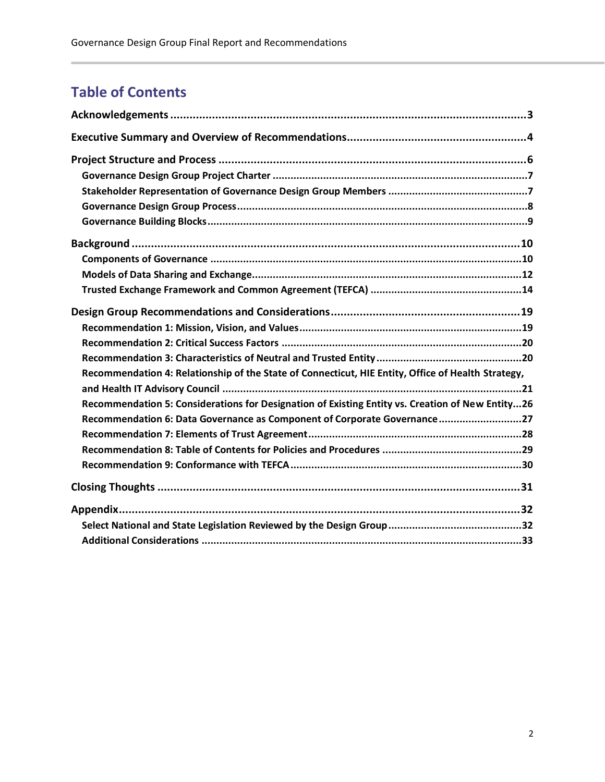# **Table of Contents**

| Recommendation 4: Relationship of the State of Connecticut, HIE Entity, Office of Health Strategy, |
|----------------------------------------------------------------------------------------------------|
|                                                                                                    |
| Recommendation 5: Considerations for Designation of Existing Entity vs. Creation of New Entity26   |
| Recommendation 6: Data Governance as Component of Corporate Governance27                           |
|                                                                                                    |
|                                                                                                    |
|                                                                                                    |
|                                                                                                    |
|                                                                                                    |
|                                                                                                    |
|                                                                                                    |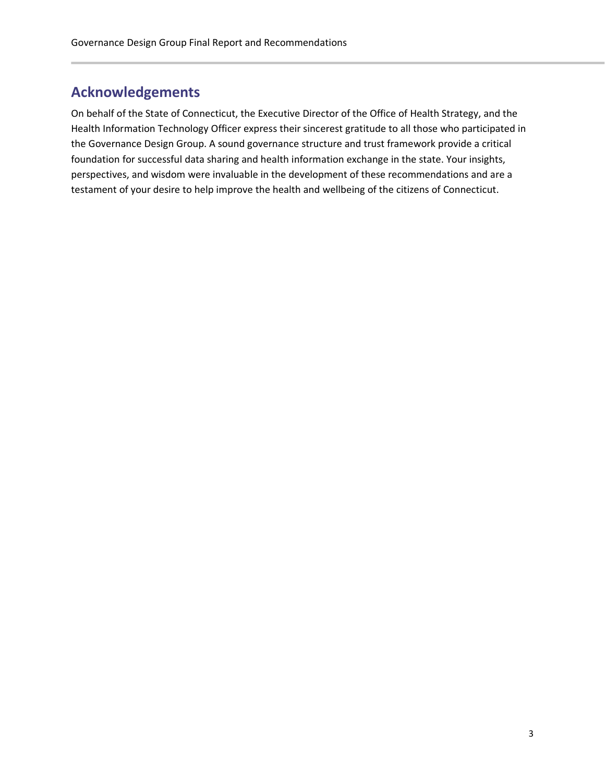# <span id="page-2-0"></span>**Acknowledgements**

On behalf of the State of Connecticut, the Executive Director of the Office of Health Strategy, and the Health Information Technology Officer express their sincerest gratitude to all those who participated in the Governance Design Group. A sound governance structure and trust framework provide a critical foundation for successful data sharing and health information exchange in the state. Your insights, perspectives, and wisdom were invaluable in the development of these recommendations and are a testament of your desire to help improve the health and wellbeing of the citizens of Connecticut.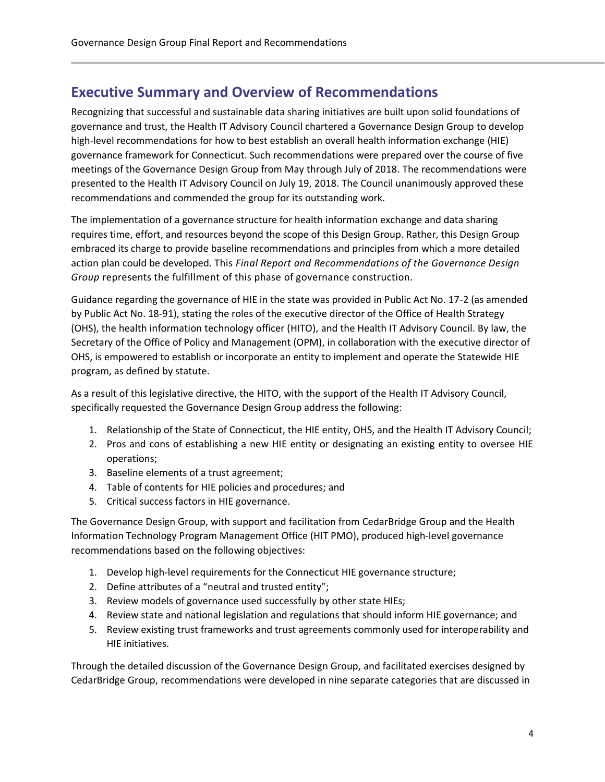# <span id="page-3-0"></span>**Executive Summary and Overview of Recommendations**

Recognizing that successful and sustainable data sharing initiatives are built upon solid foundations of governance and trust, the Health IT Advisory Council chartered a Governance Design Group to develop high-level recommendations for how to best establish an overall health information exchange (HIE) governance framework for Connecticut. Such recommendations were prepared over the course of five meetings of the Governance Design Group from May through July of 2018. The recommendations were presented to the Health IT Advisory Council on July 19, 2018. The Council unanimously approved these recommendations and commended the group for its outstanding work.

The implementation of a governance structure for health information exchange and data sharing requires time, effort, and resources beyond the scope of this Design Group. Rather, this Design Group embraced its charge to provide baseline recommendations and principles from which a more detailed action plan could be developed. This *Final Report and Recommendations of the Governance Design Group* represents the fulfillment of this phase of governance construction.

Guidance regarding the governance of HIE in the state was provided in Public Act No. 17-2 (as amended by Public Act No. 18-91), stating the roles of the executive director of the Office of Health Strategy (OHS), the health information technology officer (HITO), and the Health IT Advisory Council. By law, the Secretary of the Office of Policy and Management (OPM), in collaboration with the executive director of OHS, is empowered to establish or incorporate an entity to implement and operate the Statewide HIE program, as defined by statute.

As a result of this legislative directive, the HITO, with the support of the Health IT Advisory Council, specifically requested the Governance Design Group address the following:

- 1. Relationship of the State of Connecticut, the HIE entity, OHS, and the Health IT Advisory Council;
- 2. Pros and cons of establishing a new HIE entity or designating an existing entity to oversee HIE operations;
- 3. Baseline elements of a trust agreement;
- 4. Table of contents for HIE policies and procedures; and
- 5. Critical success factors in HIE governance.

The Governance Design Group, with support and facilitation from CedarBridge Group and the Health Information Technology Program Management Office (HIT PMO), produced high-level governance recommendations based on the following objectives:

- 1. Develop high-level requirements for the Connecticut HIE governance structure;
- 2. Define attributes of a "neutral and trusted entity";
- 3. Review models of governance used successfully by other state HIEs;
- 4. Review state and national legislation and regulations that should inform HIE governance; and
- 5. Review existing trust frameworks and trust agreements commonly used for interoperability and HIE initiatives.

Through the detailed discussion of the Governance Design Group, and facilitated exercises designed by CedarBridge Group, recommendations were developed in nine separate categories that are discussed in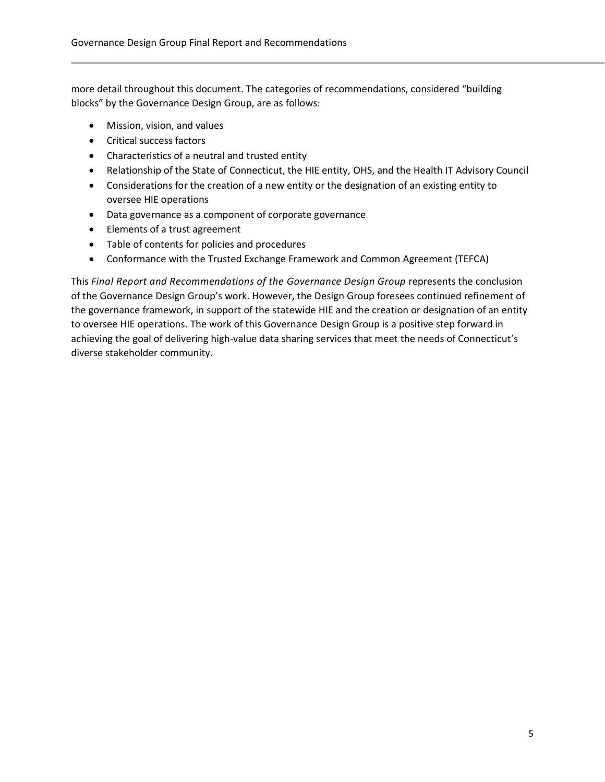more detail throughout this document. The categories of recommendations, considered "building blocks" by the Governance Design Group, are as follows:

- Mission, vision, and values
- Critical success factors
- Characteristics of a neutral and trusted entity
- Relationship of the State of Connecticut, the HIE entity, OHS, and the Health IT Advisory Council
- Considerations for the creation of a new entity or the designation of an existing entity to oversee HIE operations
- Data governance as a component of corporate governance
- Elements of a trust agreement
- Table of contents for policies and procedures
- Conformance with the Trusted Exchange Framework and Common Agreement (TEFCA)

This *Final Report and Recommendations of the Governance Design Group* represents the conclusion of the Governance Design Group's work. However, the Design Group foresees continued refinement of the governance framework, in support of the statewide HIE and the creation or designation of an entity to oversee HIE operations. The work of this Governance Design Group is a positive step forward in achieving the goal of delivering high-value data sharing services that meet the needs of Connecticut's diverse stakeholder community.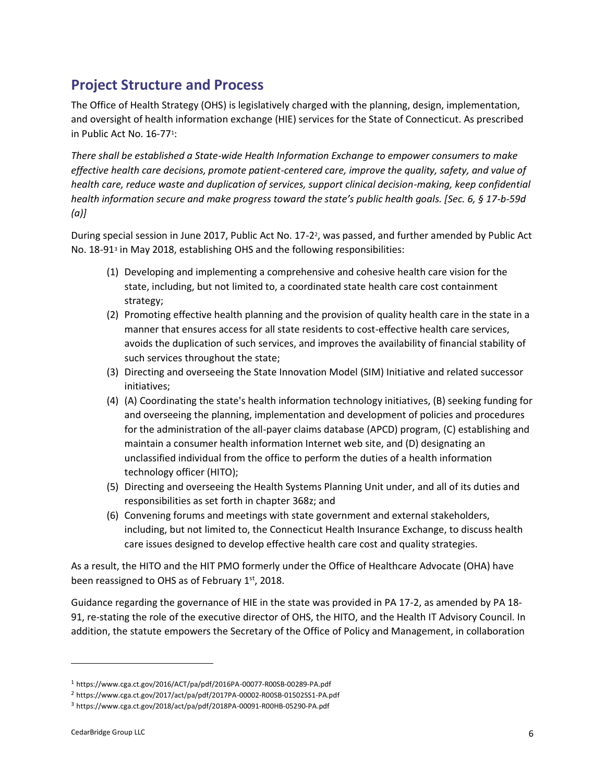# <span id="page-5-0"></span>**Project Structure and Process**

The Office of Health Strategy (OHS) is legislatively charged with the planning, design, implementation, and oversight of health information exchange (HIE) services for the State of Connecticut. As prescribed in Public Act No. 16-77<sup>1</sup>:

*There shall be established a State-wide Health Information Exchange to empower consumers to make effective health care decisions, promote patient-centered care, improve the quality, safety, and value of health care, reduce waste and duplication of services, support clinical decision-making, keep confidential health information secure and make progress toward the state's public health goals. [Sec. 6, § 17-b-59d (a)]*

During special session in June 2017, Public Act No. 17-2<sup>2</sup>, was passed, and further amended by Public Act No. 18-91<sup>3</sup> in May 2018, establishing OHS and the following responsibilities:

- (1) Developing and implementing a comprehensive and cohesive health care vision for the state, including, but not limited to, a coordinated state health care cost containment strategy;
- (2) Promoting effective health planning and the provision of quality health care in the state in a manner that ensures access for all state residents to cost-effective health care services, avoids the duplication of such services, and improves the availability of financial stability of such services throughout the state;
- (3) Directing and overseeing the State Innovation Model (SIM) Initiative and related successor initiatives;
- (4) (A) Coordinating the state's health information technology initiatives, (B) seeking funding for and overseeing the planning, implementation and development of policies and procedures for the administration of the all-payer claims database (APCD) program, (C) establishing and maintain a consumer health information Internet web site, and (D) designating an unclassified individual from the office to perform the duties of a health information technology officer (HITO);
- (5) Directing and overseeing the Health Systems Planning Unit under, and all of its duties and responsibilities as set forth in chapter 368z; and
- (6) Convening forums and meetings with state government and external stakeholders, including, but not limited to, the Connecticut Health Insurance Exchange, to discuss health care issues designed to develop effective health care cost and quality strategies.

As a result, the HITO and the HIT PMO formerly under the Office of Healthcare Advocate (OHA) have been reassigned to OHS as of February 1st, 2018.

Guidance regarding the governance of HIE in the state was provided in PA 17-2, as amended by PA 18- 91, re-stating the role of the executive director of OHS, the HITO, and the Health IT Advisory Council. In addition, the statute empowers the Secretary of the Office of Policy and Management, in collaboration

 $\overline{\phantom{0}}$ 

<sup>1</sup> https://www.cga.ct.gov/2016/ACT/pa/pdf/2016PA-00077-R00SB-00289-PA.pdf

<sup>2</sup> https://www.cga.ct.gov/2017/act/pa/pdf/2017PA-00002-R00SB-01502SS1-PA.pdf

<sup>3</sup> https://www.cga.ct.gov/2018/act/pa/pdf/2018PA-00091-R00HB-05290-PA.pdf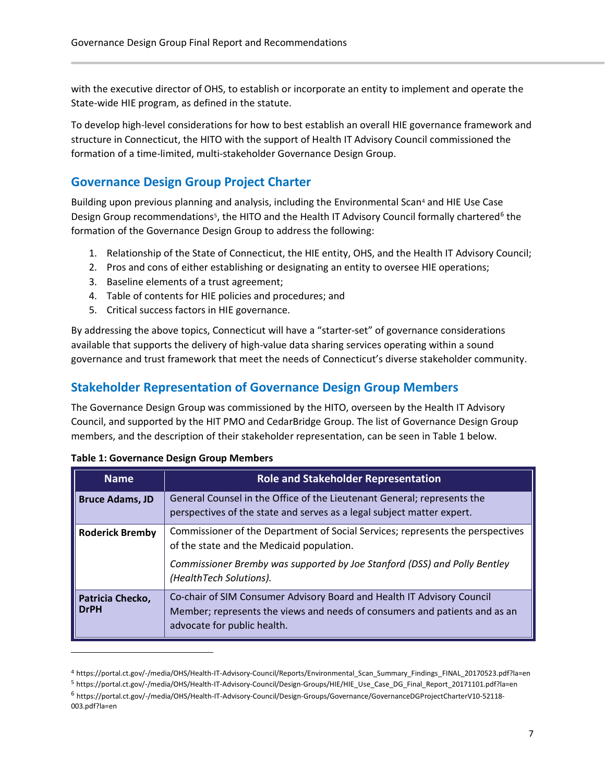with the executive director of OHS, to establish or incorporate an entity to implement and operate the State-wide HIE program, as defined in the statute.

To develop high-level considerations for how to best establish an overall HIE governance framework and structure in Connecticut, the HITO with the support of Health IT Advisory Council commissioned the formation of a time-limited, multi-stakeholder Governance Design Group.

#### <span id="page-6-0"></span>**Governance Design Group Project Charter**

Building upon previous planning and analysis, including the Environmental Scan<sup>4</sup> and HIE Use Case Design Group recommendations<sup>5</sup>, the HITO and the Health IT Advisory Council formally chartered<sup>6</sup> the formation of the Governance Design Group to address the following:

- 1. Relationship of the State of Connecticut, the HIE entity, OHS, and the Health IT Advisory Council;
- 2. Pros and cons of either establishing or designating an entity to oversee HIE operations;
- 3. Baseline elements of a trust agreement;
- 4. Table of contents for HIE policies and procedures; and
- 5. Critical success factors in HIE governance.

By addressing the above topics, Connecticut will have a "starter-set" of governance considerations available that supports the delivery of high-value data sharing services operating within a sound governance and trust framework that meet the needs of Connecticut's diverse stakeholder community.

#### <span id="page-6-1"></span>**Stakeholder Representation of Governance Design Group Members**

The Governance Design Group was commissioned by the HITO, overseen by the Health IT Advisory Council, and supported by the HIT PMO and CedarBridge Group. The list of Governance Design Group members, and the description of their stakeholder representation, can be seen in Table 1 below.

| <b>Name</b>                     | <b>Role and Stakeholder Representation</b>                                                                                                                                          |  |  |  |
|---------------------------------|-------------------------------------------------------------------------------------------------------------------------------------------------------------------------------------|--|--|--|
| <b>Bruce Adams, JD</b>          | General Counsel in the Office of the Lieutenant General; represents the<br>perspectives of the state and serves as a legal subject matter expert.                                   |  |  |  |
| <b>Roderick Bremby</b>          | Commissioner of the Department of Social Services; represents the perspectives<br>of the state and the Medicaid population.                                                         |  |  |  |
|                                 | Commissioner Bremby was supported by Joe Stanford (DSS) and Polly Bentley<br>(HealthTech Solutions).                                                                                |  |  |  |
| Patricia Checko,<br><b>DrPH</b> | Co-chair of SIM Consumer Advisory Board and Health IT Advisory Council<br>Member; represents the views and needs of consumers and patients and as an<br>advocate for public health. |  |  |  |

 $\overline{a}$ 

<sup>4</sup> https://portal.ct.gov/-/media/OHS/Health-IT-Advisory-Council/Reports/Environmental\_Scan\_Summary\_Findings\_FINAL\_20170523.pdf?la=en

<sup>5</sup> https://portal.ct.gov/-/media/OHS/Health-IT-Advisory-Council/Design-Groups/HIE/HIE\_Use\_Case\_DG\_Final\_Report\_20171101.pdf?la=en

<sup>6</sup> https://portal.ct.gov/-/media/OHS/Health-IT-Advisory-Council/Design-Groups/Governance/GovernanceDGProjectCharterV10-52118- 003.pdf?la=en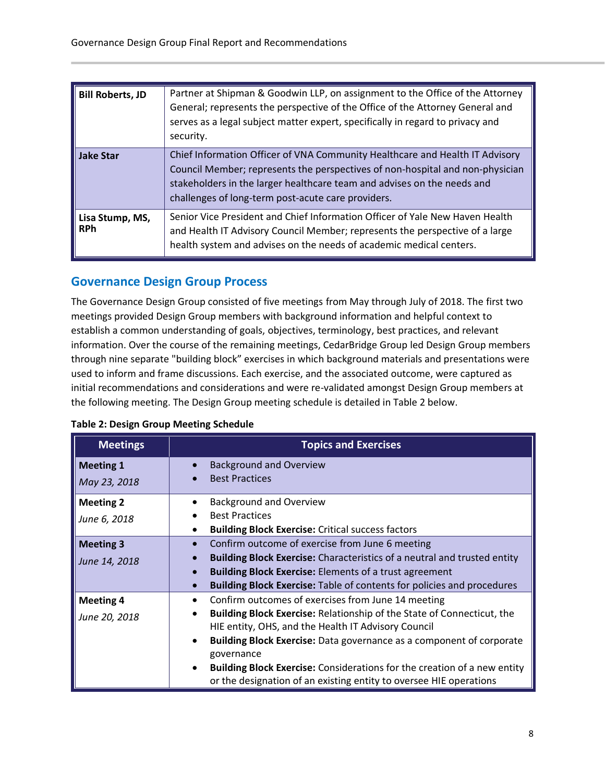| <b>Bill Roberts, JD</b>       | Partner at Shipman & Goodwin LLP, on assignment to the Office of the Attorney<br>General; represents the perspective of the Office of the Attorney General and<br>serves as a legal subject matter expert, specifically in regard to privacy and<br>security.                                  |
|-------------------------------|------------------------------------------------------------------------------------------------------------------------------------------------------------------------------------------------------------------------------------------------------------------------------------------------|
| <b>Jake Star</b>              | Chief Information Officer of VNA Community Healthcare and Health IT Advisory<br>Council Member; represents the perspectives of non-hospital and non-physician<br>stakeholders in the larger healthcare team and advises on the needs and<br>challenges of long-term post-acute care providers. |
| Lisa Stump, MS,<br><b>RPh</b> | Senior Vice President and Chief Information Officer of Yale New Haven Health<br>and Health IT Advisory Council Member; represents the perspective of a large<br>health system and advises on the needs of academic medical centers.                                                            |

#### <span id="page-7-0"></span>**Governance Design Group Process**

The Governance Design Group consisted of five meetings from May through July of 2018. The first two meetings provided Design Group members with background information and helpful context to establish a common understanding of goals, objectives, terminology, best practices, and relevant information. Over the course of the remaining meetings, CedarBridge Group led Design Group members through nine separate "building block" exercises in which background materials and presentations were used to inform and frame discussions. Each exercise, and the associated outcome, were captured as initial recommendations and considerations and were re-validated amongst Design Group members at the following meeting. The Design Group meeting schedule is detailed in Table 2 below.

| <b>Meetings</b>  | <b>Topics and Exercises</b>                                                        |  |  |  |
|------------------|------------------------------------------------------------------------------------|--|--|--|
| <b>Meeting 1</b> | <b>Background and Overview</b><br><b>Best Practices</b>                            |  |  |  |
| May 23, 2018     |                                                                                    |  |  |  |
| <b>Meeting 2</b> | <b>Background and Overview</b>                                                     |  |  |  |
| June 6, 2018     | <b>Best Practices</b>                                                              |  |  |  |
|                  | <b>Building Block Exercise: Critical success factors</b>                           |  |  |  |
| <b>Meeting 3</b> | Confirm outcome of exercise from June 6 meeting                                    |  |  |  |
| June 14, 2018    | <b>Building Block Exercise:</b> Characteristics of a neutral and trusted entity    |  |  |  |
|                  | <b>Building Block Exercise: Elements of a trust agreement</b>                      |  |  |  |
|                  | <b>Building Block Exercise: Table of contents for policies and procedures</b>      |  |  |  |
| <b>Meeting 4</b> | Confirm outcomes of exercises from June 14 meeting                                 |  |  |  |
| June 20, 2018    | <b>Building Block Exercise: Relationship of the State of Connecticut, the</b><br>٠ |  |  |  |
|                  | HIE entity, OHS, and the Health IT Advisory Council                                |  |  |  |
|                  | <b>Building Block Exercise:</b> Data governance as a component of corporate        |  |  |  |
|                  | governance                                                                         |  |  |  |
|                  | <b>Building Block Exercise:</b> Considerations for the creation of a new entity    |  |  |  |
|                  | or the designation of an existing entity to oversee HIE operations                 |  |  |  |

#### **Table 2: Design Group Meeting Schedule**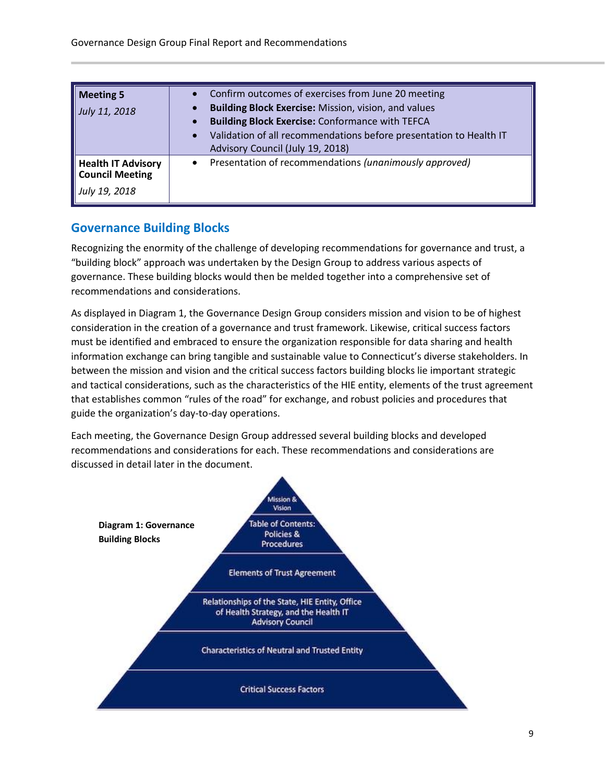| <b>Meeting 5</b><br>July 11, 2018                             | Confirm outcomes of exercises from June 20 meeting<br>Building Block Exercise: Mission, vision, and values<br><b>Building Block Exercise: Conformance with TEFCA</b><br>Validation of all recommendations before presentation to Health IT<br>Advisory Council (July 19, 2018) |
|---------------------------------------------------------------|--------------------------------------------------------------------------------------------------------------------------------------------------------------------------------------------------------------------------------------------------------------------------------|
| <b>Health IT Advisory</b><br>Council Meeting<br>July 19, 2018 | Presentation of recommendations (unanimously approved)<br>$\bullet$                                                                                                                                                                                                            |

#### <span id="page-8-0"></span>**Governance Building Blocks**

Recognizing the enormity of the challenge of developing recommendations for governance and trust, a "building block" approach was undertaken by the Design Group to address various aspects of governance. These building blocks would then be melded together into a comprehensive set of recommendations and considerations.

As displayed in Diagram 1, the Governance Design Group considers mission and vision to be of highest consideration in the creation of a governance and trust framework. Likewise, critical success factors must be identified and embraced to ensure the organization responsible for data sharing and health information exchange can bring tangible and sustainable value to Connecticut's diverse stakeholders. In between the mission and vision and the critical success factors building blocks lie important strategic and tactical considerations, such as the characteristics of the HIE entity, elements of the trust agreement that establishes common "rules of the road" for exchange, and robust policies and procedures that guide the organization's day-to-day operations.

Each meeting, the Governance Design Group addressed several building blocks and developed recommendations and considerations for each. These recommendations and considerations are discussed in detail later in the document.

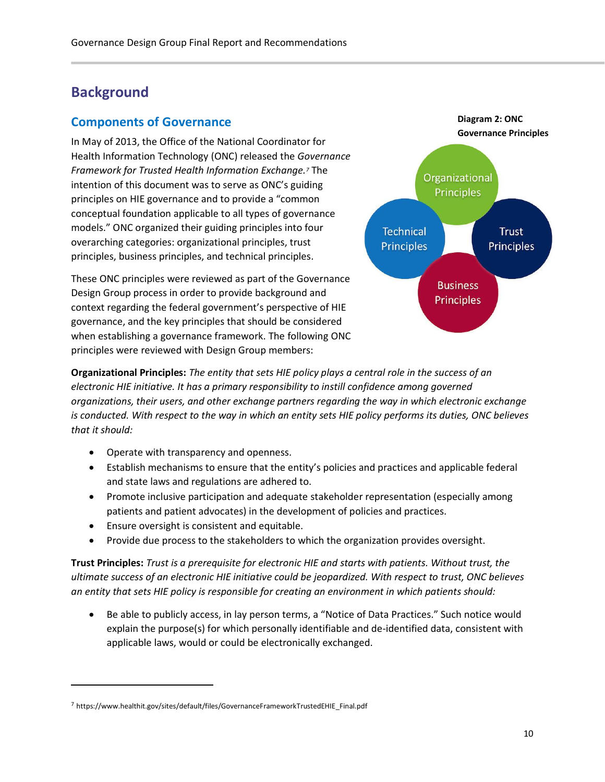# <span id="page-9-0"></span>**Background**

#### <span id="page-9-1"></span>**Components of Governance**

In May of 2013, the Office of the National Coordinator for Health Information Technology (ONC) released the *Governance Framework for Trusted Health Information Exchange.<sup>7</sup>* The intention of this document was to serve as ONC's guiding principles on HIE governance and to provide a "common conceptual foundation applicable to all types of governance models." ONC organized their guiding principles into four overarching categories: organizational principles, trust principles, business principles, and technical principles.

These ONC principles were reviewed as part of the Governance Design Group process in order to provide background and context regarding the federal government's perspective of HIE governance, and the key principles that should be considered when establishing a governance framework. The following ONC principles were reviewed with Design Group members:



**Organizational Principles:** *The entity that sets HIE policy plays a central role in the success of an electronic HIE initiative. It has a primary responsibility to instill confidence among governed organizations, their users, and other exchange partners regarding the way in which electronic exchange is conducted. With respect to the way in which an entity sets HIE policy performs its duties, ONC believes that it should:*

- Operate with transparency and openness.
- Establish mechanisms to ensure that the entity's policies and practices and applicable federal and state laws and regulations are adhered to.
- Promote inclusive participation and adequate stakeholder representation (especially among patients and patient advocates) in the development of policies and practices.
- Ensure oversight is consistent and equitable.
- Provide due process to the stakeholders to which the organization provides oversight.

**Trust Principles:** *Trust is a prerequisite for electronic HIE and starts with patients. Without trust, the ultimate success of an electronic HIE initiative could be jeopardized. With respect to trust, ONC believes an entity that sets HIE policy is responsible for creating an environment in which patients should:*

• Be able to publicly access, in lay person terms, a "Notice of Data Practices." Such notice would explain the purpose(s) for which personally identifiable and de-identified data, consistent with applicable laws, would or could be electronically exchanged.

 $\overline{a}$ 

<sup>7</sup> https://www.healthit.gov/sites/default/files/GovernanceFrameworkTrustedEHIE\_Final.pdf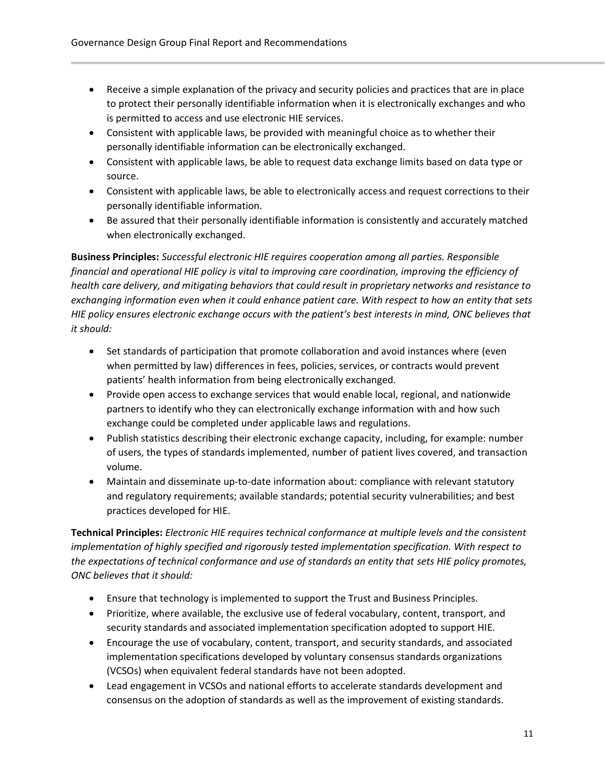- Receive a simple explanation of the privacy and security policies and practices that are in place to protect their personally identifiable information when it is electronically exchanges and who is permitted to access and use electronic HIE services.
- Consistent with applicable laws, be provided with meaningful choice as to whether their personally identifiable information can be electronically exchanged.
- Consistent with applicable laws, be able to request data exchange limits based on data type or source.
- Consistent with applicable laws, be able to electronically access and request corrections to their personally identifiable information.
- Be assured that their personally identifiable information is consistently and accurately matched when electronically exchanged.

**Business Principles:** *Successful electronic HIE requires cooperation among all parties. Responsible financial and operational HIE policy is vital to improving care coordination, improving the efficiency of health care delivery, and mitigating behaviors that could result in proprietary networks and resistance to exchanging information even when it could enhance patient care. With respect to how an entity that sets HIE policy ensures electronic exchange occurs with the patient's best interests in mind, ONC believes that it should:*

- Set standards of participation that promote collaboration and avoid instances where (even when permitted by law) differences in fees, policies, services, or contracts would prevent patients' health information from being electronically exchanged.
- Provide open access to exchange services that would enable local, regional, and nationwide partners to identify who they can electronically exchange information with and how such exchange could be completed under applicable laws and regulations.
- Publish statistics describing their electronic exchange capacity, including, for example: number of users, the types of standards implemented, number of patient lives covered, and transaction volume.
- Maintain and disseminate up-to-date information about: compliance with relevant statutory and regulatory requirements; available standards; potential security vulnerabilities; and best practices developed for HIE.

**Technical Principles:** *Electronic HIE requires technical conformance at multiple levels and the consistent implementation of highly specified and rigorously tested implementation specification. With respect to the expectations of technical conformance and use of standards an entity that sets HIE policy promotes, ONC believes that it should:*

- Ensure that technology is implemented to support the Trust and Business Principles.
- Prioritize, where available, the exclusive use of federal vocabulary, content, transport, and security standards and associated implementation specification adopted to support HIE.
- Encourage the use of vocabulary, content, transport, and security standards, and associated implementation specifications developed by voluntary consensus standards organizations (VCSOs) when equivalent federal standards have not been adopted.
- Lead engagement in VCSOs and national efforts to accelerate standards development and consensus on the adoption of standards as well as the improvement of existing standards.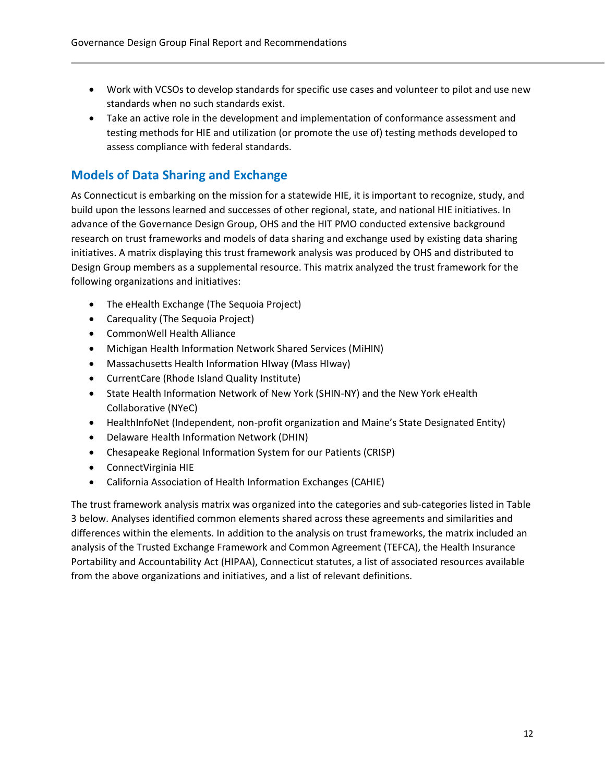- Work with VCSOs to develop standards for specific use cases and volunteer to pilot and use new standards when no such standards exist.
- Take an active role in the development and implementation of conformance assessment and testing methods for HIE and utilization (or promote the use of) testing methods developed to assess compliance with federal standards.

#### <span id="page-11-0"></span>**Models of Data Sharing and Exchange**

As Connecticut is embarking on the mission for a statewide HIE, it is important to recognize, study, and build upon the lessons learned and successes of other regional, state, and national HIE initiatives. In advance of the Governance Design Group, OHS and the HIT PMO conducted extensive background research on trust frameworks and models of data sharing and exchange used by existing data sharing initiatives. A matrix displaying this trust framework analysis was produced by OHS and distributed to Design Group members as a supplemental resource. This matrix analyzed the trust framework for the following organizations and initiatives:

- The eHealth Exchange (The Sequoia Project)
- Carequality (The Sequoia Project)
- CommonWell Health Alliance
- Michigan Health Information Network Shared Services (MiHIN)
- Massachusetts Health Information HIway (Mass HIway)
- CurrentCare (Rhode Island Quality Institute)
- State Health Information Network of New York (SHIN-NY) and the New York eHealth Collaborative (NYeC)
- HealthInfoNet (Independent, non-profit organization and Maine's State Designated Entity)
- Delaware Health Information Network (DHIN)
- Chesapeake Regional Information System for our Patients (CRISP)
- ConnectVirginia HIE
- California Association of Health Information Exchanges (CAHIE)

The trust framework analysis matrix was organized into the categories and sub-categories listed in Table 3 below. Analyses identified common elements shared across these agreements and similarities and differences within the elements. In addition to the analysis on trust frameworks, the matrix included an analysis of the Trusted Exchange Framework and Common Agreement (TEFCA), the Health Insurance Portability and Accountability Act (HIPAA), Connecticut statutes, a list of associated resources available from the above organizations and initiatives, and a list of relevant definitions.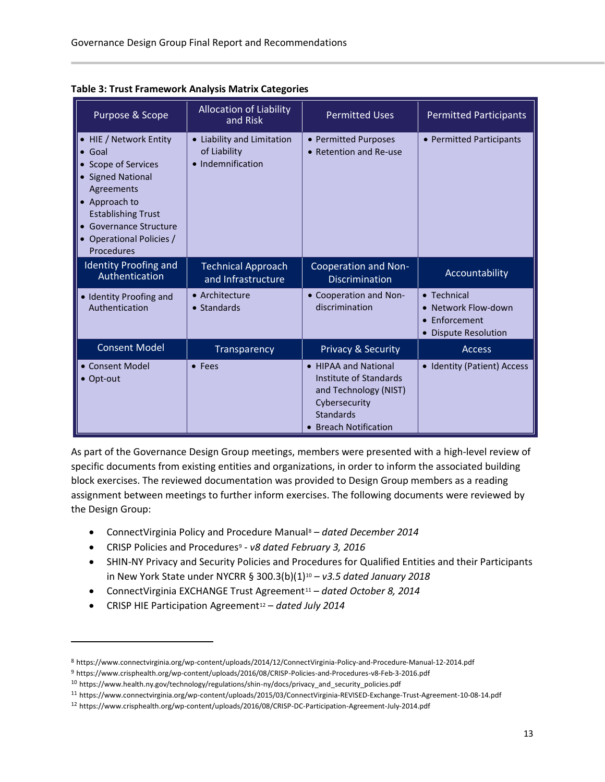| Purpose & Scope                                                                                                                                                                                                    | <b>Allocation of Liability</b><br>and Risk                      | <b>Permitted Uses</b>                                                                                                                 | <b>Permitted Participants</b>                                                    |
|--------------------------------------------------------------------------------------------------------------------------------------------------------------------------------------------------------------------|-----------------------------------------------------------------|---------------------------------------------------------------------------------------------------------------------------------------|----------------------------------------------------------------------------------|
| • HIE / Network Entity<br>Goal<br>• Scope of Services<br><b>Signed National</b><br>Agreements<br>Approach to<br><b>Establishing Trust</b><br><b>Governance Structure</b><br>• Operational Policies /<br>Procedures | • Liability and Limitation<br>of Liability<br>• Indemnification | • Permitted Purposes<br>• Retention and Re-use                                                                                        | • Permitted Participants                                                         |
| <b>Identity Proofing and</b><br>Authentication                                                                                                                                                                     | <b>Technical Approach</b><br>and Infrastructure                 | Cooperation and Non-<br><b>Discrimination</b>                                                                                         | Accountability                                                                   |
| · Identity Proofing and<br>Authentication                                                                                                                                                                          | • Architecture<br>• Standards                                   | • Cooperation and Non-<br>discrimination                                                                                              | • Technical<br>• Network Flow-down<br>• Enforcement<br><b>Dispute Resolution</b> |
| <b>Consent Model</b>                                                                                                                                                                                               | Transparency                                                    | <b>Privacy &amp; Security</b>                                                                                                         | <b>Access</b>                                                                    |
| • Consent Model<br>$\bullet$ Opt-out                                                                                                                                                                               | • Fees                                                          | • HIPAA and National<br>Institute of Standards<br>and Technology (NIST)<br>Cybersecurity<br><b>Standards</b><br>• Breach Notification | • Identity (Patient) Access                                                      |

**Table 3: Trust Framework Analysis Matrix Categories**

As part of the Governance Design Group meetings, members were presented with a high-level review of specific documents from existing entities and organizations, in order to inform the associated building block exercises. The reviewed documentation was provided to Design Group members as a reading assignment between meetings to further inform exercises. The following documents were reviewed by the Design Group:

- ConnectVirginia Policy and Procedure Manual<sup>8</sup> *dated December 2014*
- CRISP Policies and Procedures<sup>9</sup> *v8 dated February 3, 2016*
- SHIN-NY Privacy and Security Policies and Procedures for Qualified Entities and their Participants in New York State under NYCRR § 300.3(b)(1)<sup>10</sup> – *v3.5 dated January 2018*
- ConnectVirginia EXCHANGE Trust Agreement<sup>11</sup> *dated October 8, 2014*
- CRISP HIE Participation Agreement<sup>12</sup> *dated July 2014*

 $\overline{\phantom{0}}$ 

<sup>8</sup> https://www.connectvirginia.org/wp-content/uploads/2014/12/ConnectVirginia-Policy-and-Procedure-Manual-12-2014.pdf

<sup>9</sup> https://www.crisphealth.org/wp-content/uploads/2016/08/CRISP-Policies-and-Procedures-v8-Feb-3-2016.pdf

<sup>10</sup> https://www.health.ny.gov/technology/regulations/shin-ny/docs/privacy\_and\_security\_policies.pdf

<sup>11</sup> https://www.connectvirginia.org/wp-content/uploads/2015/03/ConnectVirginia-REVISED-Exchange-Trust-Agreement-10-08-14.pdf

<sup>12</sup> https://www.crisphealth.org/wp-content/uploads/2016/08/CRISP-DC-Participation-Agreement-July-2014.pdf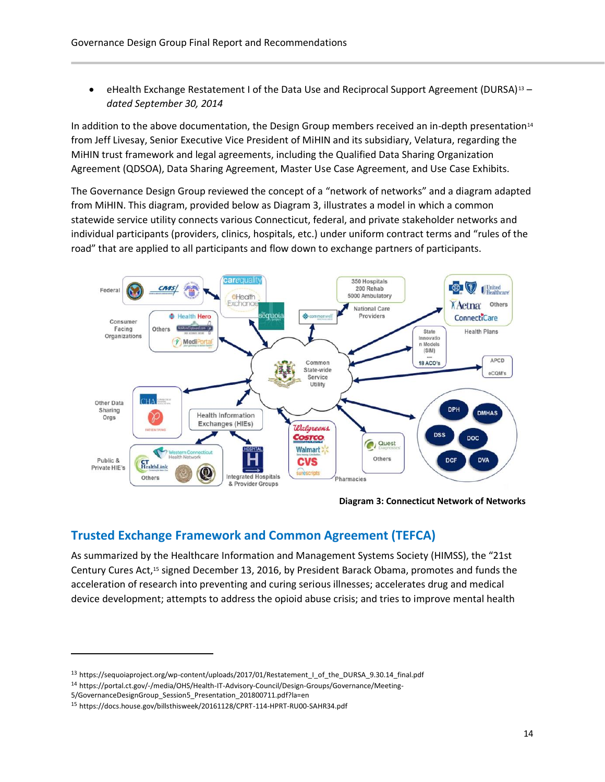• eHealth Exchange Restatement I of the Data Use and Reciprocal Support Agreement (DURSA)<sup>13</sup> – *dated September 30, 2014*

In addition to the above documentation, the Design Group members received an in-depth presentation<sup>14</sup> from Jeff Livesay, Senior Executive Vice President of MiHIN and its subsidiary, Velatura, regarding the MiHIN trust framework and legal agreements, including the Qualified Data Sharing Organization Agreement (QDSOA), Data Sharing Agreement, Master Use Case Agreement, and Use Case Exhibits.

The Governance Design Group reviewed the concept of a "network of networks" and a diagram adapted from MiHIN. This diagram, provided below as Diagram 3, illustrates a model in which a common statewide service utility connects various Connecticut, federal, and private stakeholder networks and individual participants (providers, clinics, hospitals, etc.) under uniform contract terms and "rules of the road" that are applied to all participants and flow down to exchange partners of participants.



**Diagram 3: Connecticut Network of Networks**

#### <span id="page-13-0"></span>**Trusted Exchange Framework and Common Agreement (TEFCA)**

As summarized by the Healthcare Information and Management Systems Society (HIMSS), the "21st Century Cures Act,<sup>15</sup> signed December 13, 2016, by President Barack Obama, promotes and funds the acceleration of research into preventing and curing serious illnesses; accelerates drug and medical device development; attempts to address the opioid abuse crisis; and tries to improve mental health

 $\overline{\phantom{0}}$ 

<sup>13</sup> https://sequoiaproject.org/wp-content/uploads/2017/01/Restatement\_I\_of\_the\_DURSA\_9.30.14\_final.pdf

<sup>14</sup> https://portal.ct.gov/-/media/OHS/Health-IT-Advisory-Council/Design-Groups/Governance/Meeting-

<sup>5/</sup>GovernanceDesignGroup\_Session5\_Presentation\_201800711.pdf?la=en

<sup>15</sup> https://docs.house.gov/billsthisweek/20161128/CPRT-114-HPRT-RU00-SAHR34.pdf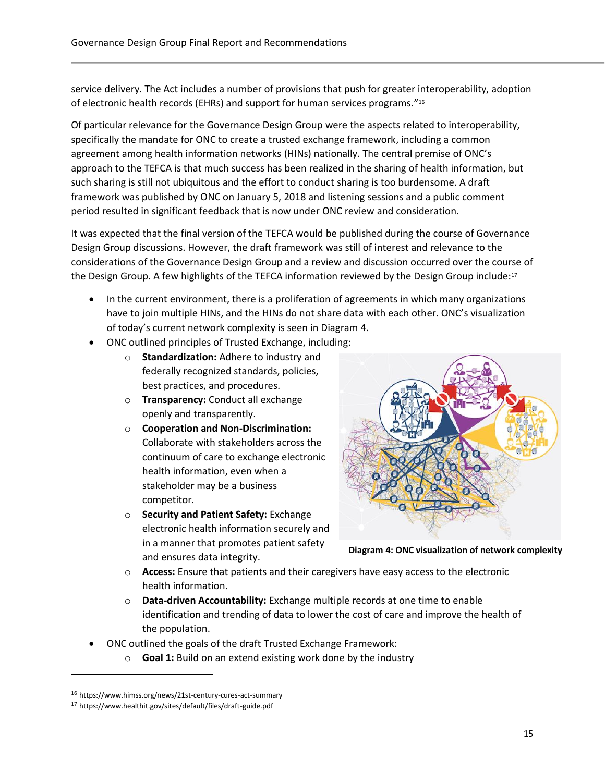service delivery. The Act includes a number of provisions that push for greater interoperability, adoption of electronic health records (EHRs) and support for human services programs."<sup>16</sup>

Of particular relevance for the Governance Design Group were the aspects related to interoperability, specifically the mandate for ONC to create a trusted exchange framework, including a common agreement among health information networks (HINs) nationally. The central premise of ONC's approach to the TEFCA is that much success has been realized in the sharing of health information, but such sharing is still not ubiquitous and the effort to conduct sharing is too burdensome. A draft framework was published by ONC on January 5, 2018 and listening sessions and a public comment period resulted in significant feedback that is now under ONC review and consideration.

It was expected that the final version of the TEFCA would be published during the course of Governance Design Group discussions. However, the draft framework was still of interest and relevance to the considerations of the Governance Design Group and a review and discussion occurred over the course of the Design Group. A few highlights of the TEFCA information reviewed by the Design Group include:<sup>17</sup>

- In the current environment, there is a proliferation of agreements in which many organizations have to join multiple HINs, and the HINs do not share data with each other. ONC's visualization of today's current network complexity is seen in Diagram 4.
- ONC outlined principles of Trusted Exchange, including:
	- o **Standardization:** Adhere to industry and federally recognized standards, policies, best practices, and procedures.
	- o **Transparency:** Conduct all exchange openly and transparently.
	- o **Cooperation and Non-Discrimination:** Collaborate with stakeholders across the continuum of care to exchange electronic health information, even when a stakeholder may be a business competitor.
	- o **Security and Patient Safety:** Exchange electronic health information securely and in a manner that promotes patient safety and ensures data integrity.



**Diagram 4: ONC visualization of network complexity**

- o **Access:** Ensure that patients and their caregivers have easy access to the electronic health information.
- o **Data-driven Accountability:** Exchange multiple records at one time to enable identification and trending of data to lower the cost of care and improve the health of the population.
- ONC outlined the goals of the draft Trusted Exchange Framework:
	- o **Goal 1:** Build on an extend existing work done by the industry

 $\overline{a}$ 

<sup>16</sup> https://www.himss.org/news/21st-century-cures-act-summary

<sup>17</sup> https://www.healthit.gov/sites/default/files/draft-guide.pdf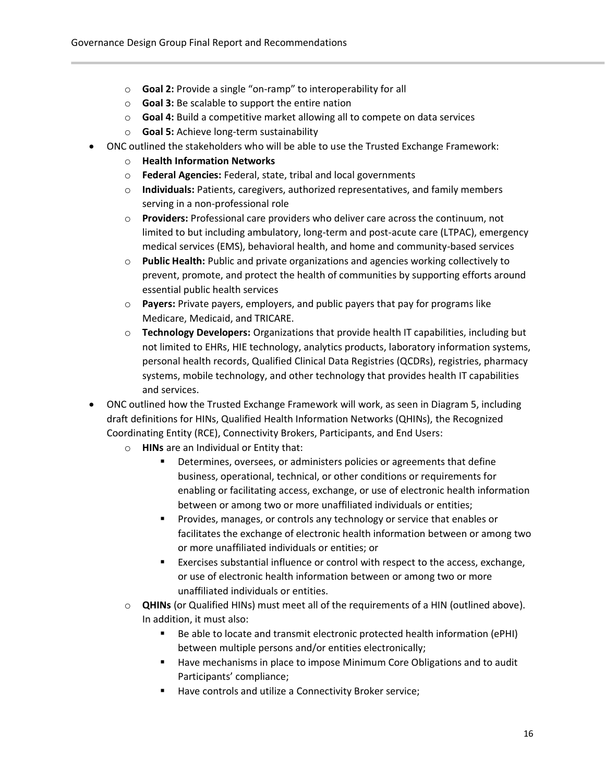- o **Goal 2:** Provide a single "on-ramp" to interoperability for all
- o **Goal 3:** Be scalable to support the entire nation
- o **Goal 4:** Build a competitive market allowing all to compete on data services
- o **Goal 5:** Achieve long-term sustainability
- ONC outlined the stakeholders who will be able to use the Trusted Exchange Framework:
	- o **Health Information Networks**
	- o **Federal Agencies:** Federal, state, tribal and local governments
	- o **Individuals:** Patients, caregivers, authorized representatives, and family members serving in a non-professional role
	- o **Providers:** Professional care providers who deliver care across the continuum, not limited to but including ambulatory, long-term and post-acute care (LTPAC), emergency medical services (EMS), behavioral health, and home and community-based services
	- o **Public Health:** Public and private organizations and agencies working collectively to prevent, promote, and protect the health of communities by supporting efforts around essential public health services
	- o **Payers:** Private payers, employers, and public payers that pay for programs like Medicare, Medicaid, and TRICARE.
	- o **Technology Developers:** Organizations that provide health IT capabilities, including but not limited to EHRs, HIE technology, analytics products, laboratory information systems, personal health records, Qualified Clinical Data Registries (QCDRs), registries, pharmacy systems, mobile technology, and other technology that provides health IT capabilities and services.
- ONC outlined how the Trusted Exchange Framework will work, as seen in Diagram 5, including draft definitions for HINs, Qualified Health Information Networks (QHINs), the Recognized Coordinating Entity (RCE), Connectivity Brokers, Participants, and End Users:
	- o **HINs** are an Individual or Entity that:
		- Determines, oversees, or administers policies or agreements that define business, operational, technical, or other conditions or requirements for enabling or facilitating access, exchange, or use of electronic health information between or among two or more unaffiliated individuals or entities;
		- Provides, manages, or controls any technology or service that enables or facilitates the exchange of electronic health information between or among two or more unaffiliated individuals or entities; or
		- Exercises substantial influence or control with respect to the access, exchange, or use of electronic health information between or among two or more unaffiliated individuals or entities.
	- o **QHINs** (or Qualified HINs) must meet all of the requirements of a HIN (outlined above). In addition, it must also:
		- Be able to locate and transmit electronic protected health information (ePHI) between multiple persons and/or entities electronically;
		- Have mechanisms in place to impose Minimum Core Obligations and to audit Participants' compliance;
		- Have controls and utilize a Connectivity Broker service;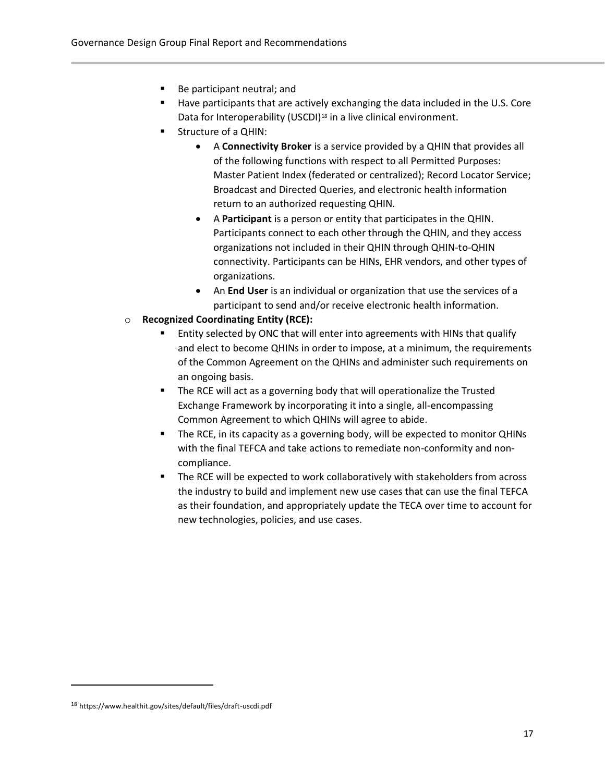- Be participant neutral; and
- Have participants that are actively exchanging the data included in the U.S. Core Data for Interoperability (USCDI)<sup>18</sup> in a live clinical environment.
- Structure of a QHIN:
	- A **Connectivity Broker** is a service provided by a QHIN that provides all of the following functions with respect to all Permitted Purposes: Master Patient Index (federated or centralized); Record Locator Service; Broadcast and Directed Queries, and electronic health information return to an authorized requesting QHIN.
	- A **Participant** is a person or entity that participates in the QHIN. Participants connect to each other through the QHIN, and they access organizations not included in their QHIN through QHIN-to-QHIN connectivity. Participants can be HINs, EHR vendors, and other types of organizations.
	- An **End User** is an individual or organization that use the services of a participant to send and/or receive electronic health information.
- o **Recognized Coordinating Entity (RCE):**
	- Entity selected by ONC that will enter into agreements with HINs that qualify and elect to become QHINs in order to impose, at a minimum, the requirements of the Common Agreement on the QHINs and administer such requirements on an ongoing basis.
	- The RCE will act as a governing body that will operationalize the Trusted Exchange Framework by incorporating it into a single, all-encompassing Common Agreement to which QHINs will agree to abide.
	- The RCE, in its capacity as a governing body, will be expected to monitor QHINs with the final TEFCA and take actions to remediate non-conformity and noncompliance.
	- The RCE will be expected to work collaboratively with stakeholders from across the industry to build and implement new use cases that can use the final TEFCA as their foundation, and appropriately update the TECA over time to account for new technologies, policies, and use cases.

 $\overline{a}$ 

<sup>18</sup> https://www.healthit.gov/sites/default/files/draft-uscdi.pdf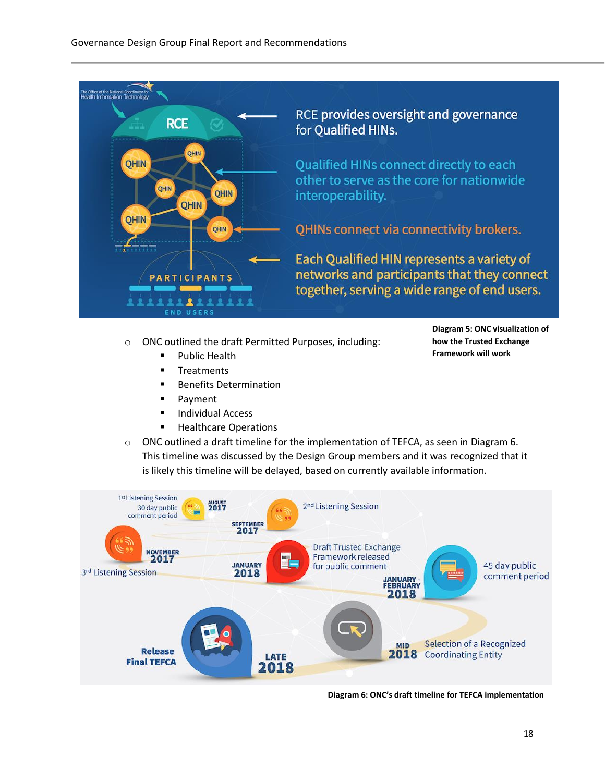

- o ONC outlined the draft Permitted Purposes, including:
	- Public Health
	- **■** Treatments
	- Benefits Determination
	- Payment
	- Individual Access
	- Healthcare Operations
- $\circ$  ONC outlined a draft timeline for the implementation of TEFCA, as seen in Diagram 6. This timeline was discussed by the Design Group members and it was recognized that it is likely this timeline will be delayed, based on currently available information.



**Diagram 6: ONC's draft timeline for TEFCA implementation**

**Diagram 5: ONC visualization of how the Trusted Exchange Framework will work**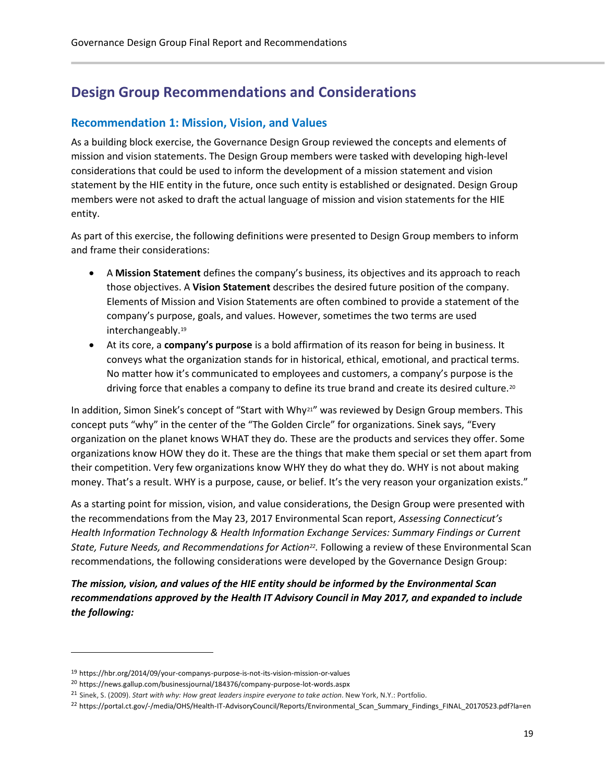# <span id="page-18-0"></span>**Design Group Recommendations and Considerations**

#### <span id="page-18-1"></span>**Recommendation 1: Mission, Vision, and Values**

As a building block exercise, the Governance Design Group reviewed the concepts and elements of mission and vision statements. The Design Group members were tasked with developing high-level considerations that could be used to inform the development of a mission statement and vision statement by the HIE entity in the future, once such entity is established or designated. Design Group members were not asked to draft the actual language of mission and vision statements for the HIE entity.

As part of this exercise, the following definitions were presented to Design Group members to inform and frame their considerations:

- A **Mission Statement** defines the company's business, its objectives and its approach to reach those objectives. A **Vision Statement** describes the desired future position of the company. Elements of Mission and Vision Statements are often combined to provide a statement of the company's purpose, goals, and values. However, sometimes the two terms are used interchangeably.<sup>19</sup>
- At its core, a **company's purpose** is a bold affirmation of its reason for being in business. It conveys what the organization stands for in historical, ethical, emotional, and practical terms. No matter how it's communicated to employees and customers, a company's purpose is the driving force that enables a company to define its true brand and create its desired culture.<sup>20</sup>

In addition, Simon Sinek's concept of "Start with Why<sup>21"</sup> was reviewed by Design Group members. This concept puts "why" in the center of the "The Golden Circle" for organizations. Sinek says, "Every organization on the planet knows WHAT they do. These are the products and services they offer. Some organizations know HOW they do it. These are the things that make them special or set them apart from their competition. Very few organizations know WHY they do what they do. WHY is not about making money. That's a result. WHY is a purpose, cause, or belief. It's the very reason your organization exists."

As a starting point for mission, vision, and value considerations, the Design Group were presented with the recommendations from the May 23, 2017 Environmental Scan report, *Assessing Connecticut's Health Information Technology & Health Information Exchange Services: Summary Findings or Current State, Future Needs, and Recommendations for Action<sup>22</sup> .* Following a review of these Environmental Scan recommendations, the following considerations were developed by the Governance Design Group:

*The mission, vision, and values of the HIE entity should be informed by the Environmental Scan recommendations approved by the Health IT Advisory Council in May 2017, and expanded to include the following:*

 $\overline{a}$ 

<sup>19</sup> https://hbr.org/2014/09/your-companys-purpose-is-not-its-vision-mission-or-values

<sup>20</sup> https://news.gallup.com/businessjournal/184376/company-purpose-lot-words.aspx

<sup>21</sup> Sinek, S. (2009). *Start with why: How great leaders inspire everyone to take action*. New York, N.Y.: Portfolio.

<sup>22</sup> https://portal.ct.gov/-/media/OHS/Health-IT-AdvisoryCouncil/Reports/Environmental\_Scan\_Summary\_Findings\_FINAL\_20170523.pdf?la=en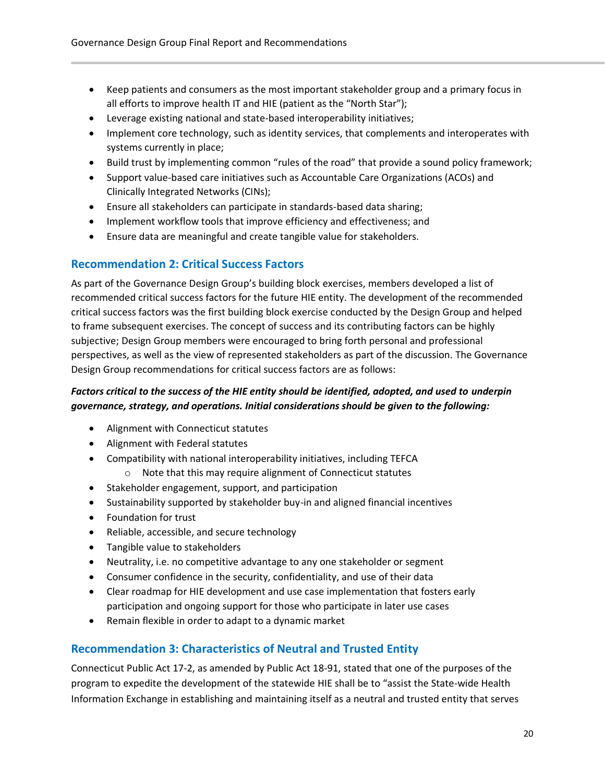- Keep patients and consumers as the most important stakeholder group and a primary focus in all efforts to improve health IT and HIE (patient as the "North Star");
- Leverage existing national and state-based interoperability initiatives;
- Implement core technology, such as identity services, that complements and interoperates with systems currently in place;
- Build trust by implementing common "rules of the road" that provide a sound policy framework;
- Support value-based care initiatives such as Accountable Care Organizations (ACOs) and Clinically Integrated Networks (CINs);
- Ensure all stakeholders can participate in standards-based data sharing;
- Implement workflow tools that improve efficiency and effectiveness; and
- Ensure data are meaningful and create tangible value for stakeholders.

#### <span id="page-19-0"></span>**Recommendation 2: Critical Success Factors**

As part of the Governance Design Group's building block exercises, members developed a list of recommended critical success factors for the future HIE entity. The development of the recommended critical success factors was the first building block exercise conducted by the Design Group and helped to frame subsequent exercises. The concept of success and its contributing factors can be highly subjective; Design Group members were encouraged to bring forth personal and professional perspectives, as well as the view of represented stakeholders as part of the discussion. The Governance Design Group recommendations for critical success factors are as follows:

#### *Factors critical to the success of the HIE entity should be identified, adopted, and used to underpin governance, strategy, and operations. Initial considerations should be given to the following:*

- Alignment with Connecticut statutes
- Alignment with Federal statutes
- Compatibility with national interoperability initiatives, including TEFCA
	- o Note that this may require alignment of Connecticut statutes
- Stakeholder engagement, support, and participation
- Sustainability supported by stakeholder buy-in and aligned financial incentives
- Foundation for trust
- Reliable, accessible, and secure technology
- Tangible value to stakeholders
- Neutrality, i.e. no competitive advantage to any one stakeholder or segment
- Consumer confidence in the security, confidentiality, and use of their data
- Clear roadmap for HIE development and use case implementation that fosters early participation and ongoing support for those who participate in later use cases
- Remain flexible in order to adapt to a dynamic market

#### <span id="page-19-1"></span>**Recommendation 3: Characteristics of Neutral and Trusted Entity**

Connecticut Public Act 17-2, as amended by Public Act 18-91, stated that one of the purposes of the program to expedite the development of the statewide HIE shall be to "assist the State-wide Health Information Exchange in establishing and maintaining itself as a neutral and trusted entity that serves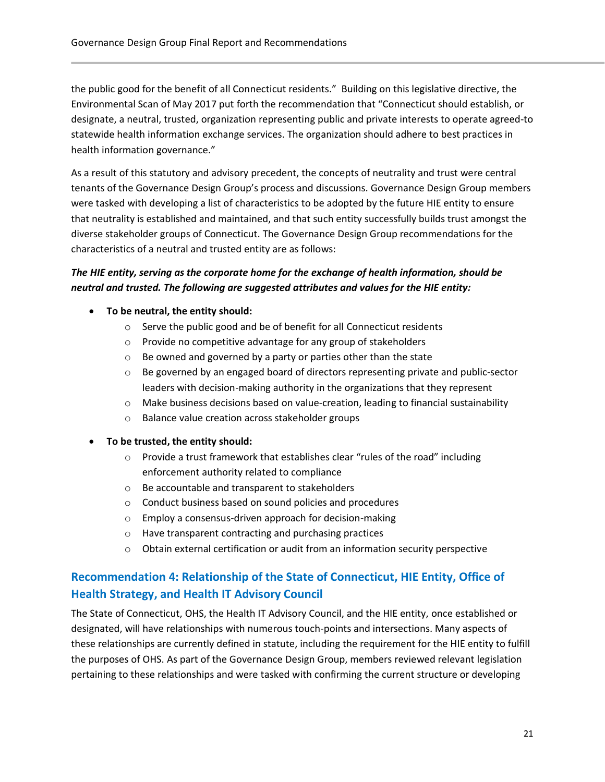the public good for the benefit of all Connecticut residents." Building on this legislative directive, the Environmental Scan of May 2017 put forth the recommendation that "Connecticut should establish, or designate, a neutral, trusted, organization representing public and private interests to operate agreed-to statewide health information exchange services. The organization should adhere to best practices in health information governance."

As a result of this statutory and advisory precedent, the concepts of neutrality and trust were central tenants of the Governance Design Group's process and discussions. Governance Design Group members were tasked with developing a list of characteristics to be adopted by the future HIE entity to ensure that neutrality is established and maintained, and that such entity successfully builds trust amongst the diverse stakeholder groups of Connecticut. The Governance Design Group recommendations for the characteristics of a neutral and trusted entity are as follows:

#### *The HIE entity, serving as the corporate home for the exchange of health information, should be neutral and trusted. The following are suggested attributes and values for the HIE entity:*

- **To be neutral, the entity should:**
	- o Serve the public good and be of benefit for all Connecticut residents
	- o Provide no competitive advantage for any group of stakeholders
	- o Be owned and governed by a party or parties other than the state
	- $\circ$  Be governed by an engaged board of directors representing private and public-sector leaders with decision-making authority in the organizations that they represent
	- $\circ$  Make business decisions based on value-creation, leading to financial sustainability
	- o Balance value creation across stakeholder groups
- **To be trusted, the entity should:**
	- $\circ$  Provide a trust framework that establishes clear "rules of the road" including enforcement authority related to compliance
	- o Be accountable and transparent to stakeholders
	- o Conduct business based on sound policies and procedures
	- o Employ a consensus-driven approach for decision-making
	- o Have transparent contracting and purchasing practices
	- o Obtain external certification or audit from an information security perspective

#### <span id="page-20-0"></span>**Recommendation 4: Relationship of the State of Connecticut, HIE Entity, Office of Health Strategy, and Health IT Advisory Council**

The State of Connecticut, OHS, the Health IT Advisory Council, and the HIE entity, once established or designated, will have relationships with numerous touch-points and intersections. Many aspects of these relationships are currently defined in statute, including the requirement for the HIE entity to fulfill the purposes of OHS. As part of the Governance Design Group, members reviewed relevant legislation pertaining to these relationships and were tasked with confirming the current structure or developing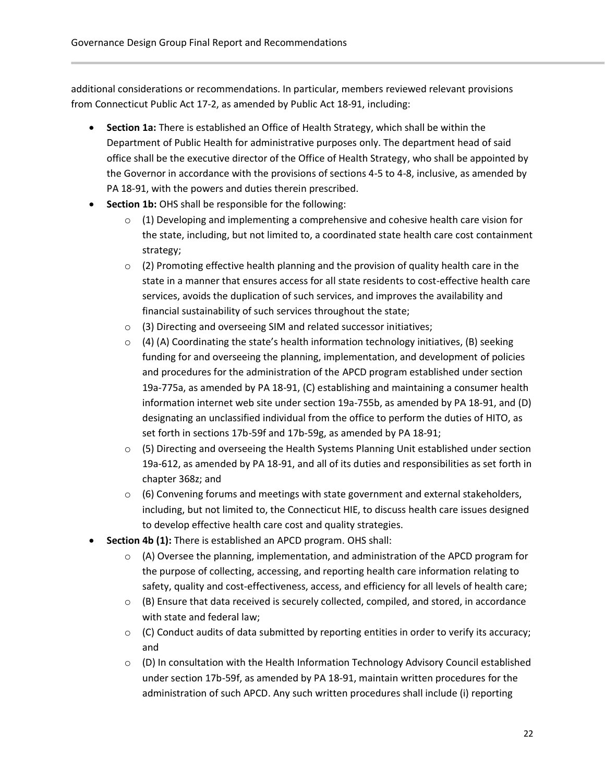additional considerations or recommendations. In particular, members reviewed relevant provisions from Connecticut Public Act 17-2, as amended by Public Act 18-91, including:

- **Section 1a:** There is established an Office of Health Strategy, which shall be within the Department of Public Health for administrative purposes only. The department head of said office shall be the executive director of the Office of Health Strategy, who shall be appointed by the Governor in accordance with the provisions of sections 4-5 to 4-8, inclusive, as amended by PA 18-91, with the powers and duties therein prescribed.
- **Section 1b:** OHS shall be responsible for the following:
	- $\circ$  (1) Developing and implementing a comprehensive and cohesive health care vision for the state, including, but not limited to, a coordinated state health care cost containment strategy;
	- $\circ$  (2) Promoting effective health planning and the provision of quality health care in the state in a manner that ensures access for all state residents to cost-effective health care services, avoids the duplication of such services, and improves the availability and financial sustainability of such services throughout the state;
	- o (3) Directing and overseeing SIM and related successor initiatives;
	- $\circ$  (4) (A) Coordinating the state's health information technology initiatives, (B) seeking funding for and overseeing the planning, implementation, and development of policies and procedures for the administration of the APCD program established under section 19a-775a, as amended by PA 18-91, (C) establishing and maintaining a consumer health information internet web site under section 19a-755b, as amended by PA 18-91, and (D) designating an unclassified individual from the office to perform the duties of HITO, as set forth in sections 17b-59f and 17b-59g, as amended by PA 18-91;
	- $\circ$  (5) Directing and overseeing the Health Systems Planning Unit established under section 19a-612, as amended by PA 18-91, and all of its duties and responsibilities as set forth in chapter 368z; and
	- $\circ$  (6) Convening forums and meetings with state government and external stakeholders, including, but not limited to, the Connecticut HIE, to discuss health care issues designed to develop effective health care cost and quality strategies.
- **Section 4b (1):** There is established an APCD program. OHS shall:
	- $\circ$  (A) Oversee the planning, implementation, and administration of the APCD program for the purpose of collecting, accessing, and reporting health care information relating to safety, quality and cost-effectiveness, access, and efficiency for all levels of health care;
	- $\circ$  (B) Ensure that data received is securely collected, compiled, and stored, in accordance with state and federal law;
	- $\circ$  (C) Conduct audits of data submitted by reporting entities in order to verify its accuracy; and
	- o (D) In consultation with the Health Information Technology Advisory Council established under section 17b-59f, as amended by PA 18-91, maintain written procedures for the administration of such APCD. Any such written procedures shall include (i) reporting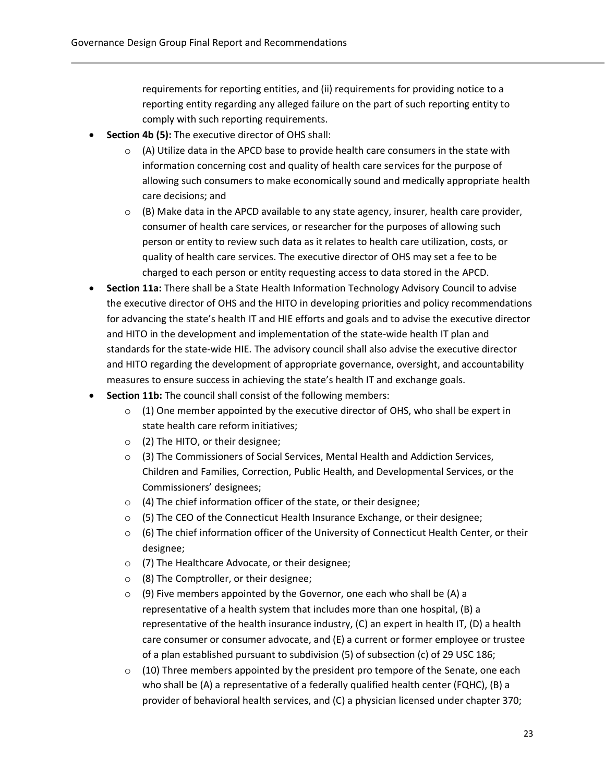requirements for reporting entities, and (ii) requirements for providing notice to a reporting entity regarding any alleged failure on the part of such reporting entity to comply with such reporting requirements.

- **Section 4b (5):** The executive director of OHS shall:
	- $\circ$  (A) Utilize data in the APCD base to provide health care consumers in the state with information concerning cost and quality of health care services for the purpose of allowing such consumers to make economically sound and medically appropriate health care decisions; and
	- $\circ$  (B) Make data in the APCD available to any state agency, insurer, health care provider, consumer of health care services, or researcher for the purposes of allowing such person or entity to review such data as it relates to health care utilization, costs, or quality of health care services. The executive director of OHS may set a fee to be charged to each person or entity requesting access to data stored in the APCD.
- **Section 11a:** There shall be a State Health Information Technology Advisory Council to advise the executive director of OHS and the HITO in developing priorities and policy recommendations for advancing the state's health IT and HIE efforts and goals and to advise the executive director and HITO in the development and implementation of the state-wide health IT plan and standards for the state-wide HIE. The advisory council shall also advise the executive director and HITO regarding the development of appropriate governance, oversight, and accountability measures to ensure success in achieving the state's health IT and exchange goals.
- **Section 11b:** The council shall consist of the following members:
	- $\circ$  (1) One member appointed by the executive director of OHS, who shall be expert in state health care reform initiatives;
	- o (2) The HITO, or their designee;
	- o (3) The Commissioners of Social Services, Mental Health and Addiction Services, Children and Families, Correction, Public Health, and Developmental Services, or the Commissioners' designees;
	- o (4) The chief information officer of the state, or their designee;
	- $\circ$  (5) The CEO of the Connecticut Health Insurance Exchange, or their designee;
	- $\circ$  (6) The chief information officer of the University of Connecticut Health Center, or their designee;
	- o (7) The Healthcare Advocate, or their designee;
	- $\circ$  (8) The Comptroller, or their designee;
	- $\circ$  (9) Five members appointed by the Governor, one each who shall be (A) a representative of a health system that includes more than one hospital, (B) a representative of the health insurance industry, (C) an expert in health IT, (D) a health care consumer or consumer advocate, and (E) a current or former employee or trustee of a plan established pursuant to subdivision (5) of subsection (c) of 29 USC 186;
	- $\circ$  (10) Three members appointed by the president pro tempore of the Senate, one each who shall be (A) a representative of a federally qualified health center (FQHC), (B) a provider of behavioral health services, and (C) a physician licensed under chapter 370;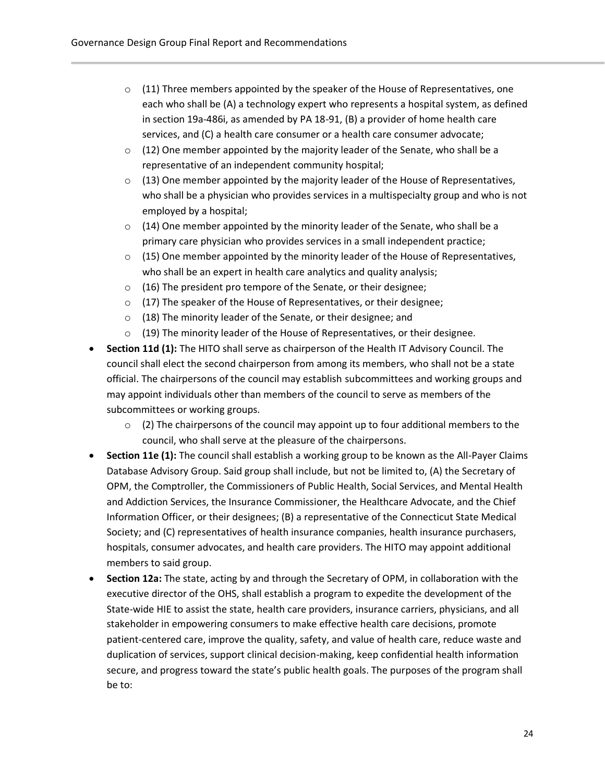- $\circ$  (11) Three members appointed by the speaker of the House of Representatives, one each who shall be (A) a technology expert who represents a hospital system, as defined in section 19a-486i, as amended by PA 18-91, (B) a provider of home health care services, and (C) a health care consumer or a health care consumer advocate;
- $\circ$  (12) One member appointed by the majority leader of the Senate, who shall be a representative of an independent community hospital;
- $\circ$  (13) One member appointed by the majority leader of the House of Representatives, who shall be a physician who provides services in a multispecialty group and who is not employed by a hospital;
- $\circ$  (14) One member appointed by the minority leader of the Senate, who shall be a primary care physician who provides services in a small independent practice;
- $\circ$  (15) One member appointed by the minority leader of the House of Representatives, who shall be an expert in health care analytics and quality analysis;
- o (16) The president pro tempore of the Senate, or their designee;
- o (17) The speaker of the House of Representatives, or their designee;
- o (18) The minority leader of the Senate, or their designee; and
- $\circ$  (19) The minority leader of the House of Representatives, or their designee.
- **Section 11d (1):** The HITO shall serve as chairperson of the Health IT Advisory Council. The council shall elect the second chairperson from among its members, who shall not be a state official. The chairpersons of the council may establish subcommittees and working groups and may appoint individuals other than members of the council to serve as members of the subcommittees or working groups.
	- $\circ$  (2) The chairpersons of the council may appoint up to four additional members to the council, who shall serve at the pleasure of the chairpersons.
- **Section 11e (1):** The council shall establish a working group to be known as the All-Payer Claims Database Advisory Group. Said group shall include, but not be limited to, (A) the Secretary of OPM, the Comptroller, the Commissioners of Public Health, Social Services, and Mental Health and Addiction Services, the Insurance Commissioner, the Healthcare Advocate, and the Chief Information Officer, or their designees; (B) a representative of the Connecticut State Medical Society; and (C) representatives of health insurance companies, health insurance purchasers, hospitals, consumer advocates, and health care providers. The HITO may appoint additional members to said group.
- **Section 12a:** The state, acting by and through the Secretary of OPM, in collaboration with the executive director of the OHS, shall establish a program to expedite the development of the State-wide HIE to assist the state, health care providers, insurance carriers, physicians, and all stakeholder in empowering consumers to make effective health care decisions, promote patient-centered care, improve the quality, safety, and value of health care, reduce waste and duplication of services, support clinical decision-making, keep confidential health information secure, and progress toward the state's public health goals. The purposes of the program shall be to: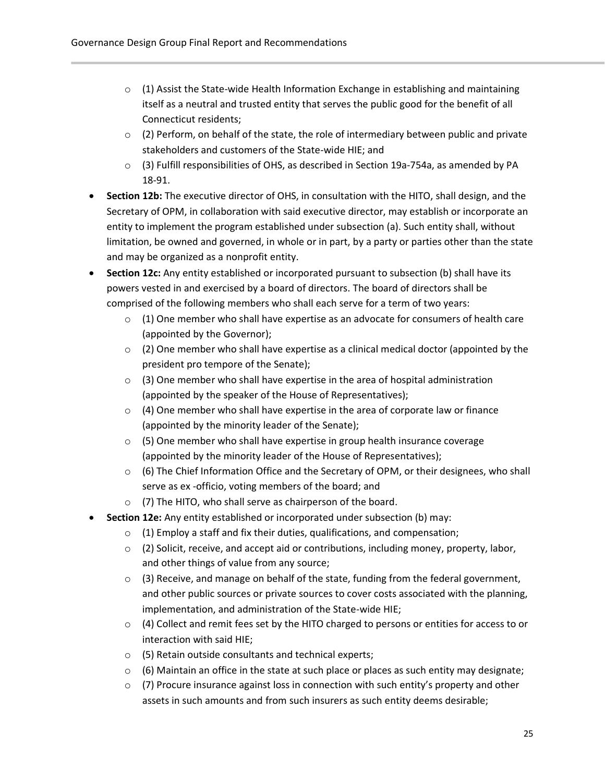- $\circ$  (1) Assist the State-wide Health Information Exchange in establishing and maintaining itself as a neutral and trusted entity that serves the public good for the benefit of all Connecticut residents;
- $\circ$  (2) Perform, on behalf of the state, the role of intermediary between public and private stakeholders and customers of the State-wide HIE; and
- $\circ$  (3) Fulfill responsibilities of OHS, as described in Section 19a-754a, as amended by PA 18-91.
- **Section 12b:** The executive director of OHS, in consultation with the HITO, shall design, and the Secretary of OPM, in collaboration with said executive director, may establish or incorporate an entity to implement the program established under subsection (a). Such entity shall, without limitation, be owned and governed, in whole or in part, by a party or parties other than the state and may be organized as a nonprofit entity.
- **Section 12c:** Any entity established or incorporated pursuant to subsection (b) shall have its powers vested in and exercised by a board of directors. The board of directors shall be comprised of the following members who shall each serve for a term of two years:
	- $\circ$  (1) One member who shall have expertise as an advocate for consumers of health care (appointed by the Governor);
	- $\circ$  (2) One member who shall have expertise as a clinical medical doctor (appointed by the president pro tempore of the Senate);
	- $\circ$  (3) One member who shall have expertise in the area of hospital administration (appointed by the speaker of the House of Representatives);
	- $\circ$  (4) One member who shall have expertise in the area of corporate law or finance (appointed by the minority leader of the Senate);
	- o (5) One member who shall have expertise in group health insurance coverage (appointed by the minority leader of the House of Representatives);
	- $\circ$  (6) The Chief Information Office and the Secretary of OPM, or their designees, who shall serve as ex -officio, voting members of the board; and
	- o (7) The HITO, who shall serve as chairperson of the board.
- **Section 12e:** Any entity established or incorporated under subsection (b) may:
	- o (1) Employ a staff and fix their duties, qualifications, and compensation;
	- o (2) Solicit, receive, and accept aid or contributions, including money, property, labor, and other things of value from any source;
	- $\circ$  (3) Receive, and manage on behalf of the state, funding from the federal government, and other public sources or private sources to cover costs associated with the planning, implementation, and administration of the State-wide HIE;
	- $\circ$  (4) Collect and remit fees set by the HITO charged to persons or entities for access to or interaction with said HIE;
	- o (5) Retain outside consultants and technical experts;
	- $\circ$  (6) Maintain an office in the state at such place or places as such entity may designate;
	- $\circ$  (7) Procure insurance against loss in connection with such entity's property and other assets in such amounts and from such insurers as such entity deems desirable;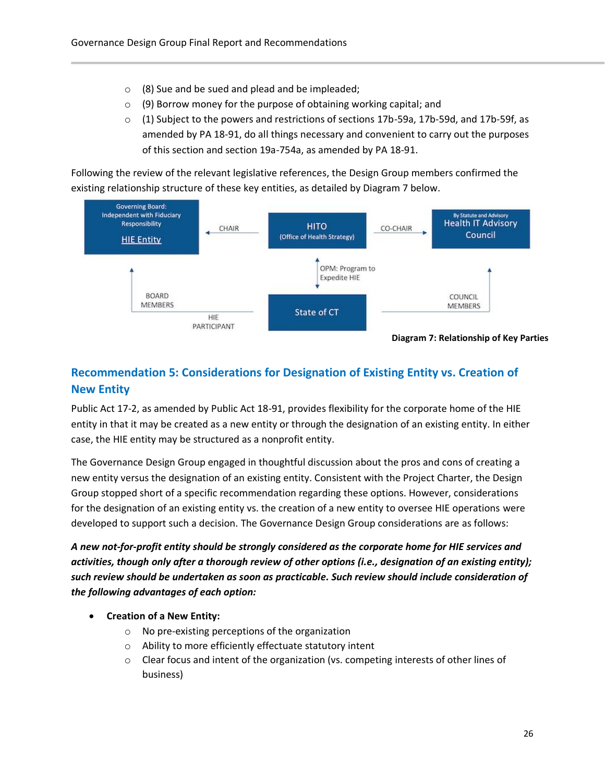- $\circ$  (8) Sue and be sued and plead and be impleaded;
- $\circ$  (9) Borrow money for the purpose of obtaining working capital; and
- $\circ$  (1) Subject to the powers and restrictions of sections 17b-59a, 17b-59d, and 17b-59f, as amended by PA 18-91, do all things necessary and convenient to carry out the purposes of this section and section 19a-754a, as amended by PA 18-91.

Following the review of the relevant legislative references, the Design Group members confirmed the existing relationship structure of these key entities, as detailed by Diagram 7 below.



# <span id="page-25-0"></span>**Recommendation 5: Considerations for Designation of Existing Entity vs. Creation of New Entity**

Public Act 17-2, as amended by Public Act 18-91, provides flexibility for the corporate home of the HIE entity in that it may be created as a new entity or through the designation of an existing entity. In either case, the HIE entity may be structured as a nonprofit entity.

The Governance Design Group engaged in thoughtful discussion about the pros and cons of creating a new entity versus the designation of an existing entity. Consistent with the Project Charter, the Design Group stopped short of a specific recommendation regarding these options. However, considerations for the designation of an existing entity vs. the creation of a new entity to oversee HIE operations were developed to support such a decision. The Governance Design Group considerations are as follows:

*A new not-for-profit entity should be strongly considered as the corporate home for HIE services and activities, though only after a thorough review of other options (i.e., designation of an existing entity); such review should be undertaken as soon as practicable. Such review should include consideration of the following advantages of each option:*

- **Creation of a New Entity:**
	- o No pre-existing perceptions of the organization
	- o Ability to more efficiently effectuate statutory intent
	- o Clear focus and intent of the organization (vs. competing interests of other lines of business)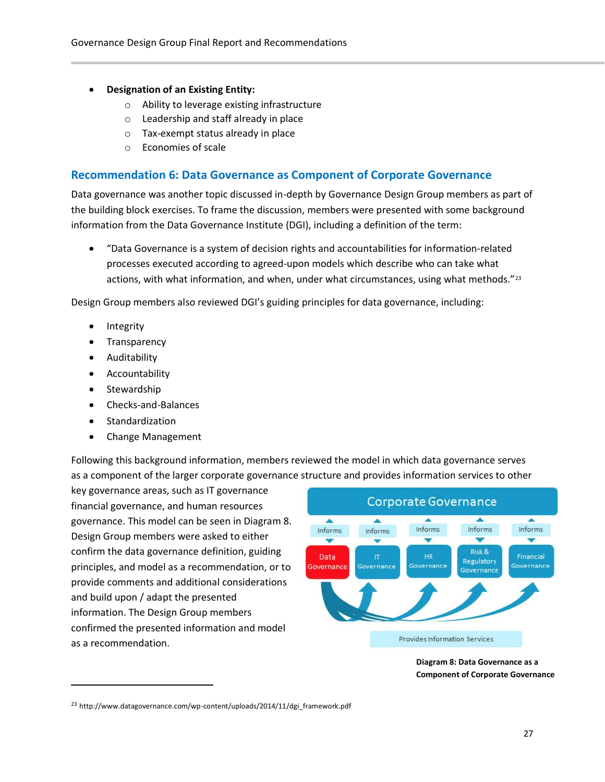- **Designation of an Existing Entity:**
	- o Ability to leverage existing infrastructure
	- o Leadership and staff already in place
	- o Tax-exempt status already in place
	- o Economies of scale

#### <span id="page-26-0"></span>**Recommendation 6: Data Governance as Component of Corporate Governance**

Data governance was another topic discussed in-depth by Governance Design Group members as part of the building block exercises. To frame the discussion, members were presented with some background information from the Data Governance Institute (DGI), including a definition of the term:

• "Data Governance is a system of decision rights and accountabilities for information-related processes executed according to agreed-upon models which describe who can take what actions, with what information, and when, under what circumstances, using what methods."<sup>23</sup>

Design Group members also reviewed DGI's guiding principles for data governance, including:

- **Integrity**
- **Transparency**
- Auditability
- Accountability
- Stewardship

 $\overline{a}$ 

- Checks-and-Balances
- Standardization
- Change Management

Following this background information, members reviewed the model in which data governance serves as a component of the larger corporate governance structure and provides information services to other

key governance areas, such as IT governance financial governance, and human resources governance. This model can be seen in Diagram 8. Design Group members were asked to either confirm the data governance definition, guiding principles, and model as a recommendation, or to provide comments and additional considerations and build upon / adapt the presented information. The Design Group members confirmed the presented information and model as a recommendation.



**Diagram 8: Data Governance as a Component of Corporate Governance**

<sup>23</sup> http://www.datagovernance.com/wp-content/uploads/2014/11/dgi\_framework.pdf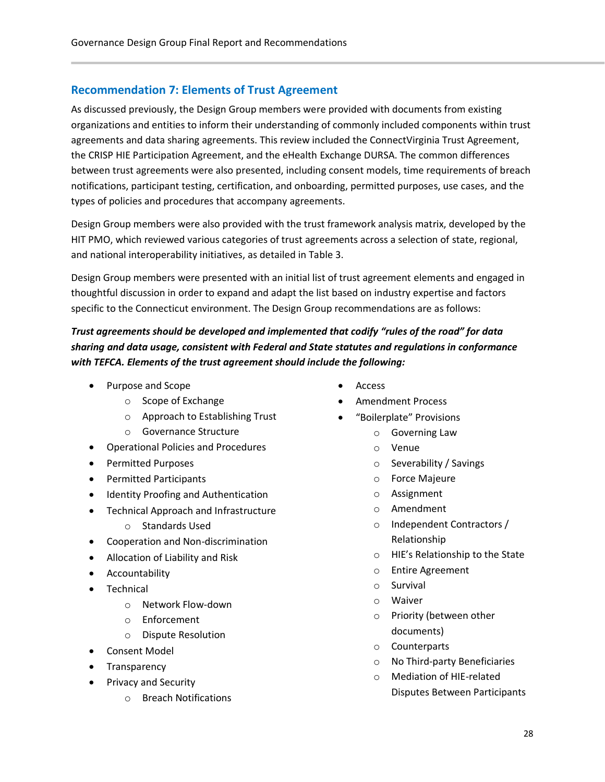#### <span id="page-27-0"></span>**Recommendation 7: Elements of Trust Agreement**

As discussed previously, the Design Group members were provided with documents from existing organizations and entities to inform their understanding of commonly included components within trust agreements and data sharing agreements. This review included the ConnectVirginia Trust Agreement, the CRISP HIE Participation Agreement, and the eHealth Exchange DURSA. The common differences between trust agreements were also presented, including consent models, time requirements of breach notifications, participant testing, certification, and onboarding, permitted purposes, use cases, and the types of policies and procedures that accompany agreements.

Design Group members were also provided with the trust framework analysis matrix, developed by the HIT PMO, which reviewed various categories of trust agreements across a selection of state, regional, and national interoperability initiatives, as detailed in Table 3.

Design Group members were presented with an initial list of trust agreement elements and engaged in thoughtful discussion in order to expand and adapt the list based on industry expertise and factors specific to the Connecticut environment. The Design Group recommendations are as follows:

*Trust agreements should be developed and implemented that codify "rules of the road" for data sharing and data usage, consistent with Federal and State statutes and regulations in conformance with TEFCA. Elements of the trust agreement should include the following:*

- Purpose and Scope
	- o Scope of Exchange
	- o Approach to Establishing Trust
	- o Governance Structure
- Operational Policies and Procedures
- Permitted Purposes
- Permitted Participants
- Identity Proofing and Authentication
- Technical Approach and Infrastructure
	- o Standards Used
- Cooperation and Non-discrimination
- Allocation of Liability and Risk
- Accountability
- Technical
	- o Network Flow-down
	- o Enforcement
	- o Dispute Resolution
- Consent Model
- Transparency
- Privacy and Security
	- o Breach Notifications
- **Access**
- Amendment Process
- "Boilerplate" Provisions
	- o Governing Law
	- o Venue
	- o Severability / Savings
	- o Force Majeure
	- o Assignment
	- o Amendment
	- o Independent Contractors / Relationship
	- o HIE's Relationship to the State
	- o Entire Agreement
	- o Survival
	- o Waiver
	- o Priority (between other documents)
	- o Counterparts
	- o No Third-party Beneficiaries
	- o Mediation of HIE-related Disputes Between Participants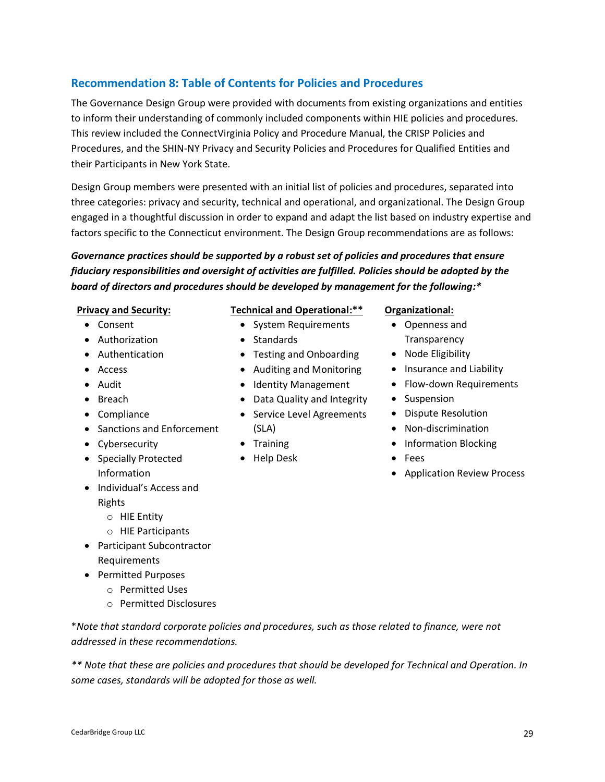#### <span id="page-28-0"></span>**Recommendation 8: Table of Contents for Policies and Procedures**

The Governance Design Group were provided with documents from existing organizations and entities to inform their understanding of commonly included components within HIE policies and procedures. This review included the ConnectVirginia Policy and Procedure Manual, the CRISP Policies and Procedures, and the SHIN-NY Privacy and Security Policies and Procedures for Qualified Entities and their Participants in New York State.

Design Group members were presented with an initial list of policies and procedures, separated into three categories: privacy and security, technical and operational, and organizational. The Design Group engaged in a thoughtful discussion in order to expand and adapt the list based on industry expertise and factors specific to the Connecticut environment. The Design Group recommendations are as follows:

*Governance practices should be supported by a robust set of policies and procedures that ensure fiduciary responsibilities and oversight of activities are fulfilled. Policies should be adopted by the board of directors and procedures should be developed by management for the following:\**

#### **Privacy and Security:**

- Consent
- Authorization
- Authentication
- Access
- Audit
- Breach
- Compliance
- Sanctions and Enforcement
- Cybersecurity
- Specially Protected Information
- Individual's Access and Rights
	- o HIE Entity
	- o HIE Participants
- Participant Subcontractor Requirements
- Permitted Purposes
	- o Permitted Uses
	- o Permitted Disclosures

\**Note that standard corporate policies and procedures, such as those related to finance, were not addressed in these recommendations.*

*\*\* Note that these are policies and procedures that should be developed for Technical and Operation. In some cases, standards will be adopted for those as well.*

#### **Technical and Operational:\*\***

- System Requirements
- Standards
- Testing and Onboarding
- Auditing and Monitoring
- Identity Management
- Data Quality and Integrity
- Service Level Agreements (SLA)
- Training
- Help Desk

#### **Organizational:**

- Openness and **Transparency**
- Node Eligibility
- Insurance and Liability
- Flow-down Requirements
- Suspension
- Dispute Resolution
- Non-discrimination
- Information Blocking
- Fees
- Application Review Process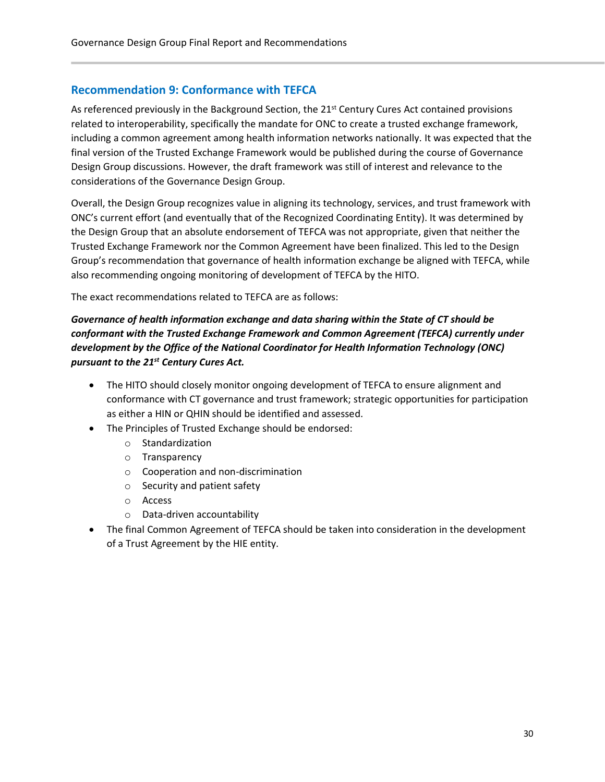#### <span id="page-29-0"></span>**Recommendation 9: Conformance with TEFCA**

As referenced previously in the Background Section, the  $21<sup>st</sup>$  Century Cures Act contained provisions related to interoperability, specifically the mandate for ONC to create a trusted exchange framework, including a common agreement among health information networks nationally. It was expected that the final version of the Trusted Exchange Framework would be published during the course of Governance Design Group discussions. However, the draft framework was still of interest and relevance to the considerations of the Governance Design Group.

Overall, the Design Group recognizes value in aligning its technology, services, and trust framework with ONC's current effort (and eventually that of the Recognized Coordinating Entity). It was determined by the Design Group that an absolute endorsement of TEFCA was not appropriate, given that neither the Trusted Exchange Framework nor the Common Agreement have been finalized. This led to the Design Group's recommendation that governance of health information exchange be aligned with TEFCA, while also recommending ongoing monitoring of development of TEFCA by the HITO.

The exact recommendations related to TEFCA are as follows:

*Governance of health information exchange and data sharing within the State of CT should be conformant with the Trusted Exchange Framework and Common Agreement (TEFCA) currently under development by the Office of the National Coordinator for Health Information Technology (ONC) pursuant to the 21st Century Cures Act.* 

- The HITO should closely monitor ongoing development of TEFCA to ensure alignment and conformance with CT governance and trust framework; strategic opportunities for participation as either a HIN or QHIN should be identified and assessed.
- The Principles of Trusted Exchange should be endorsed:
	- o Standardization
	- o Transparency
	- o Cooperation and non-discrimination
	- o Security and patient safety
	- o Access
	- o Data-driven accountability
- The final Common Agreement of TEFCA should be taken into consideration in the development of a Trust Agreement by the HIE entity.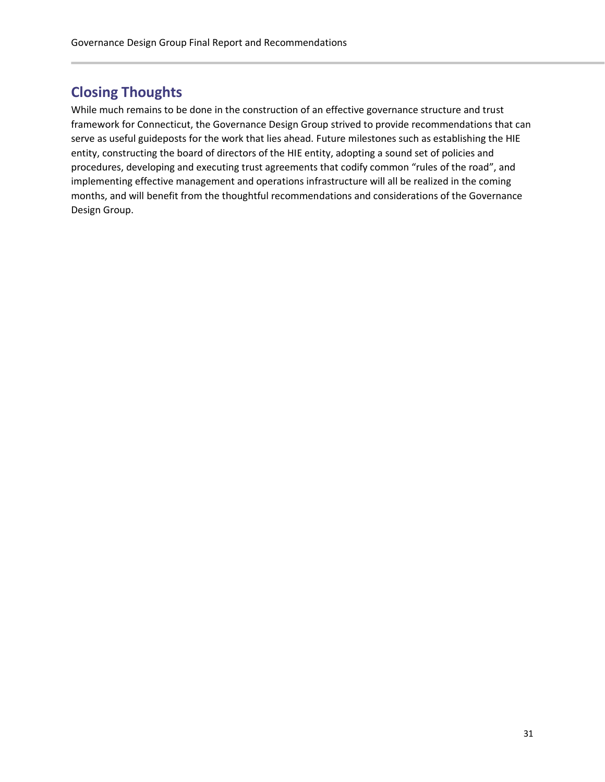# <span id="page-30-0"></span>**Closing Thoughts**

While much remains to be done in the construction of an effective governance structure and trust framework for Connecticut, the Governance Design Group strived to provide recommendations that can serve as useful guideposts for the work that lies ahead. Future milestones such as establishing the HIE entity, constructing the board of directors of the HIE entity, adopting a sound set of policies and procedures, developing and executing trust agreements that codify common "rules of the road", and implementing effective management and operations infrastructure will all be realized in the coming months, and will benefit from the thoughtful recommendations and considerations of the Governance Design Group.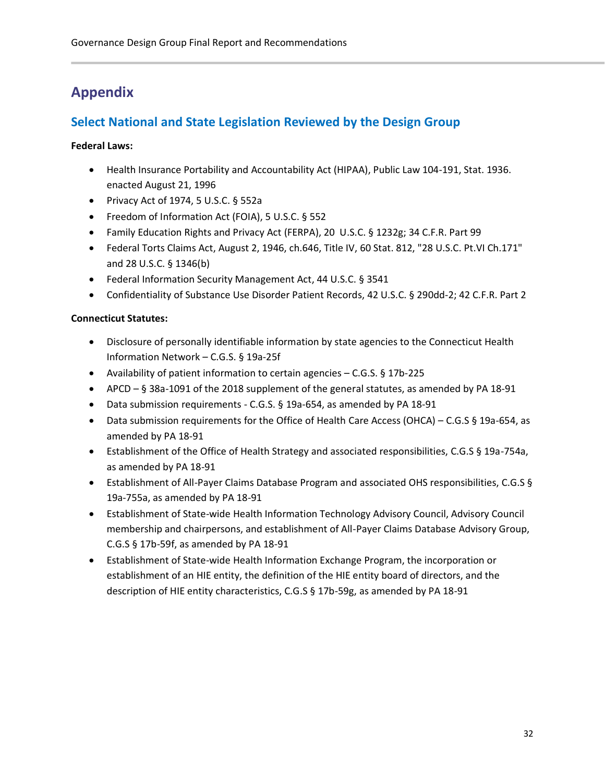# <span id="page-31-0"></span>**Appendix**

### <span id="page-31-1"></span>**Select National and State Legislation Reviewed by the Design Group**

#### **Federal Laws:**

- Health Insurance Portability and Accountability Act (HIPAA), Public Law 104-191, Stat. 1936. enacted August 21, 1996
- Privacy Act of 1974, 5 U.S.C. § 552a
- Freedom of Information Act (FOIA), 5 U.S.C. § 552
- Family Education Rights and Privacy Act (FERPA), 20 U.S.C. § 1232g; 34 C.F.R. Part 99
- Federal Torts Claims Act, August 2, 1946, ch.646, Title IV, 60 Stat. 812, "28 U.S.C. Pt.VI Ch.171" and 28 U.S.C. § 1346(b)
- Federal Information Security Management Act, 44 U.S.C. § 3541
- Confidentiality of Substance Use Disorder Patient Records, 42 U.S.C. § 290dd-2; 42 C.F.R. Part 2

#### **Connecticut Statutes:**

- Disclosure of personally identifiable information by state agencies to the Connecticut Health Information Network – C.G.S. § 19a-25f
- Availability of patient information to certain agencies C.G.S. § 17b-225
- APCD § 38a-1091 of the 2018 supplement of the general statutes, as amended by PA 18-91
- Data submission requirements C.G.S. § 19a-654, as amended by PA 18-91
- Data submission requirements for the Office of Health Care Access (OHCA) C.G.S § 19a-654, as amended by PA 18-91
- Establishment of the Office of Health Strategy and associated responsibilities, C.G.S § 19a-754a, as amended by PA 18-91
- Establishment of All-Payer Claims Database Program and associated OHS responsibilities, C.G.S § 19a-755a, as amended by PA 18-91
- Establishment of State-wide Health Information Technology Advisory Council, Advisory Council membership and chairpersons, and establishment of All-Payer Claims Database Advisory Group, C.G.S § 17b-59f, as amended by PA 18-91
- Establishment of State-wide Health Information Exchange Program, the incorporation or establishment of an HIE entity, the definition of the HIE entity board of directors, and the description of HIE entity characteristics, C.G.S § 17b-59g, as amended by PA 18-91